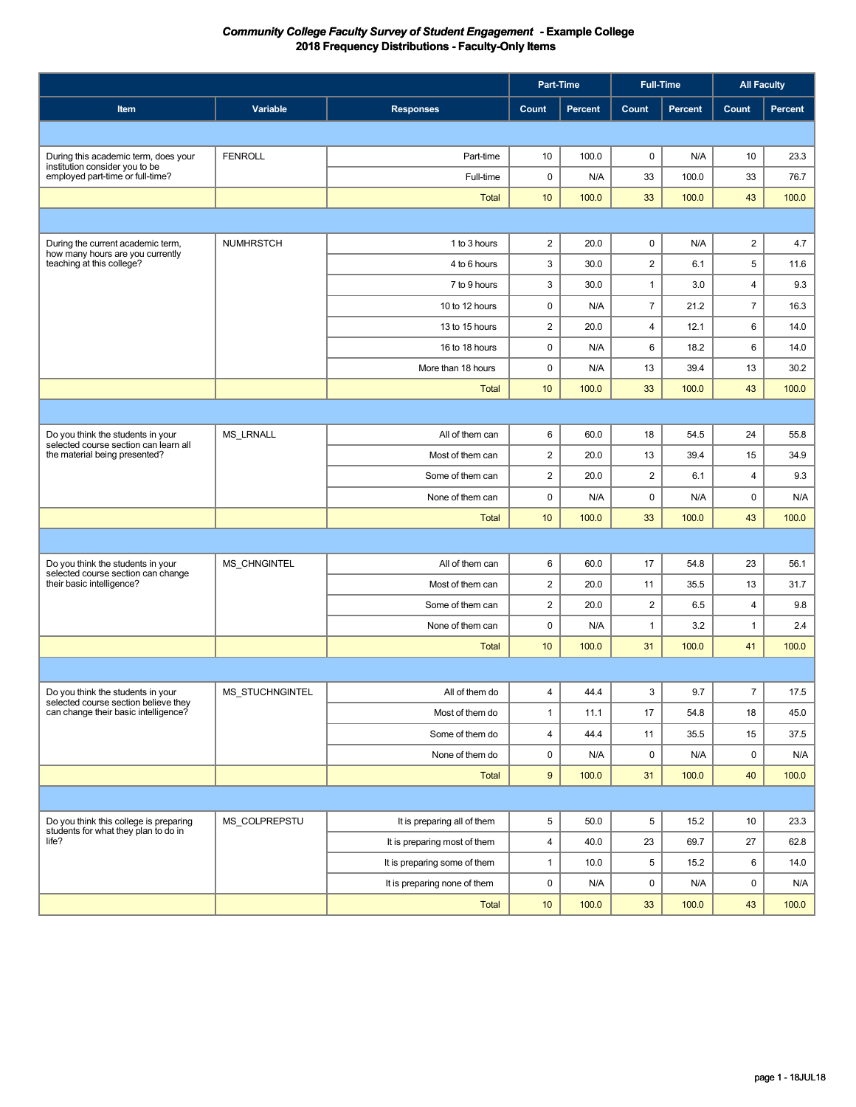|                                                                              |                        |                              | Part-Time               |         | <b>Full-Time</b> |         | <b>All Faculty</b>      |         |
|------------------------------------------------------------------------------|------------------------|------------------------------|-------------------------|---------|------------------|---------|-------------------------|---------|
| Item                                                                         | Variable               | <b>Responses</b>             | Count                   | Percent | Count            | Percent | <b>Count</b>            | Percent |
|                                                                              |                        |                              |                         |         |                  |         |                         |         |
| During this academic term, does your                                         | <b>FENROLL</b>         | Part-time                    | 10                      | 100.0   | 0                | N/A     | 10                      | 23.3    |
| institution consider you to be<br>employed part-time or full-time?           |                        | Full-time                    | 0                       | N/A     | 33               | 100.0   | 33                      | 76.7    |
|                                                                              |                        | <b>Total</b>                 | 10                      | 100.0   | 33               | 100.0   | 43                      | 100.0   |
|                                                                              |                        |                              |                         |         |                  |         |                         |         |
| During the current academic term,                                            | <b>NUMHRSTCH</b>       | 1 to 3 hours                 | $\overline{c}$          | 20.0    | 0                | N/A     | $\overline{2}$          | 4.7     |
| how many hours are you currently<br>teaching at this college?                |                        | 4 to 6 hours                 | 3                       | 30.0    | $\mathbf 2$      | 6.1     | 5                       | 11.6    |
|                                                                              |                        | 7 to 9 hours                 | 3                       | 30.0    | $\mathbf{1}$     | 3.0     | $\overline{\mathbf{4}}$ | 9.3     |
|                                                                              |                        | 10 to 12 hours               | 0                       | N/A     | $\overline{7}$   | 21.2    | $\overline{7}$          | 16.3    |
|                                                                              |                        | 13 to 15 hours               | $\overline{\mathbf{c}}$ | 20.0    | 4                | 12.1    | 6                       | 14.0    |
|                                                                              |                        | 16 to 18 hours               | 0                       | N/A     | 6                | 18.2    | 6                       | 14.0    |
|                                                                              |                        | More than 18 hours           | 0                       | N/A     | 13               | 39.4    | 13                      | 30.2    |
|                                                                              |                        | <b>Total</b>                 | 10                      | 100.0   | 33               | 100.0   | 43                      | 100.0   |
|                                                                              |                        |                              |                         |         |                  |         |                         |         |
| Do you think the students in your                                            | MS_LRNALL              | All of them can              | 6                       | 60.0    | 18               | 54.5    | 24                      | 55.8    |
| selected course section can learn all<br>the material being presented?       |                        | Most of them can             | 2                       | 20.0    | 13               | 39.4    | 15                      | 34.9    |
|                                                                              |                        | Some of them can             | $\overline{c}$          | 20.0    | $\overline{c}$   | 6.1     | $\overline{\mathbf{4}}$ | 9.3     |
|                                                                              |                        | None of them can             | 0                       | N/A     | 0                | N/A     | 0                       | N/A     |
|                                                                              |                        | <b>Total</b>                 | 10                      | 100.0   | 33               | 100.0   | 43                      | 100.0   |
|                                                                              |                        |                              |                         |         |                  |         |                         |         |
| Do you think the students in your                                            | MS_CHNGINTEL           | All of them can              | 6                       | 60.0    | 17               | 54.8    | 23                      | 56.1    |
| selected course section can change<br>their basic intelligence?              |                        | Most of them can             | 2                       | 20.0    | 11               | 35.5    | 13                      | 31.7    |
|                                                                              |                        | Some of them can             | $\overline{2}$          | 20.0    | $\overline{2}$   | 6.5     | $\overline{\mathbf{4}}$ | 9.8     |
|                                                                              |                        | None of them can             | 0                       | N/A     | $\mathbf{1}$     | 3.2     | $\mathbf{1}$            | 2.4     |
|                                                                              |                        | <b>Total</b>                 | 10                      | 100.0   | 31               | 100.0   | 41                      | 100.0   |
|                                                                              |                        |                              |                         |         |                  |         |                         |         |
| Do you think the students in your                                            | <b>MS STUCHNGINTEL</b> | All of them do               | $\overline{4}$          | 44.4    | 3                | 9.7     | $\overline{7}$          | 17.5    |
| selected course section believe they<br>can change their basic intelligence? |                        | Most of them do              | $\mathbf{1}$            | 11.1    | 17               | 54.8    | 18                      | 45.0    |
|                                                                              |                        | Some of them do              | 4                       | 44.4    | 11               | 35.5    | 15                      | 37.5    |
|                                                                              |                        | None of them do              | 0                       | N/A     | 0                | N/A     | $\mathbf 0$             | N/A     |
|                                                                              |                        | Total                        | 9                       | 100.0   | 31               | 100.0   | 40                      | 100.0   |
|                                                                              |                        |                              |                         |         |                  |         |                         |         |
| Do you think this college is preparing                                       | MS_COLPREPSTU          | It is preparing all of them  | 5                       | 50.0    | 5                | 15.2    | 10                      | 23.3    |
| students for what they plan to do in<br>life?                                |                        | It is preparing most of them | 4                       | 40.0    | 23               | 69.7    | 27                      | 62.8    |
|                                                                              |                        | It is preparing some of them | $\mathbf{1}$            | 10.0    | 5                | 15.2    | 6                       | 14.0    |
|                                                                              |                        | It is preparing none of them | 0                       | N/A     | $\mathsf 0$      | N/A     | 0                       | N/A     |
|                                                                              |                        | Total                        | 10 <sub>1</sub>         | 100.0   | 33               | 100.0   | 43                      | 100.0   |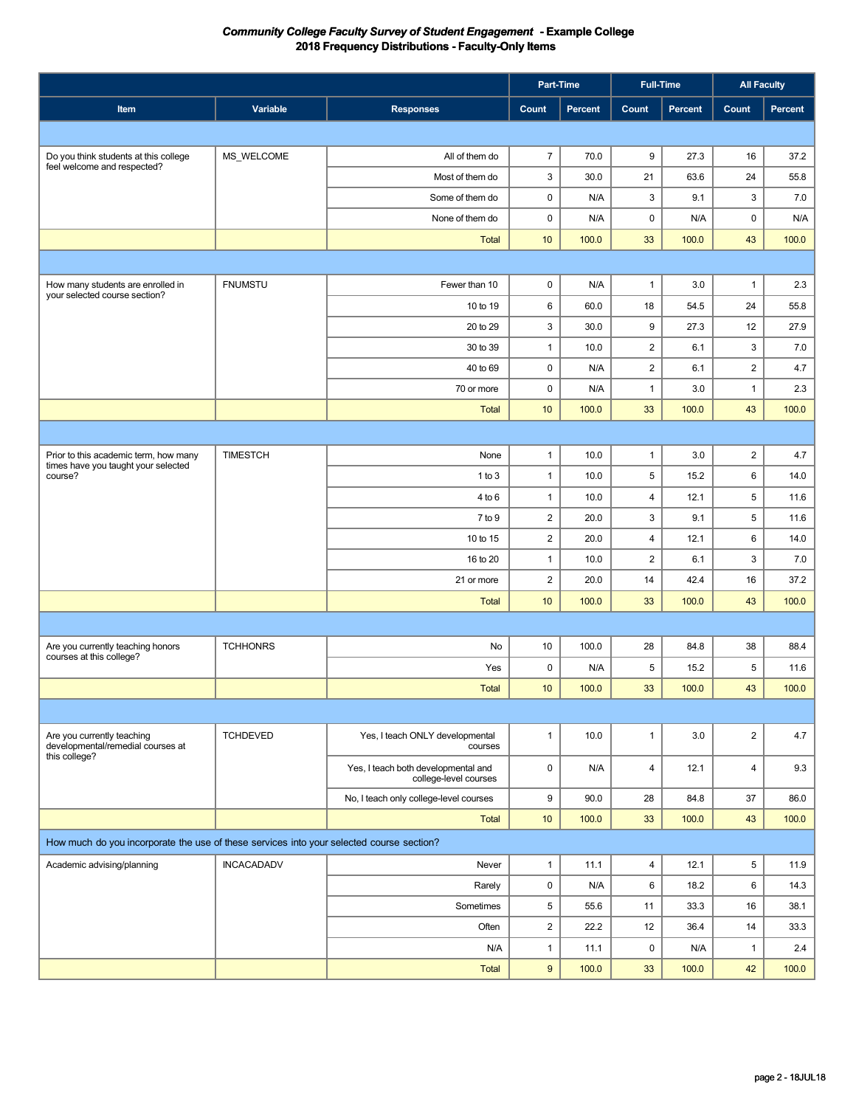|                                                                                          |                   |                                                              | <b>Part-Time</b>        |         |                | <b>Full-Time</b> | <b>All Faculty</b>      |         |
|------------------------------------------------------------------------------------------|-------------------|--------------------------------------------------------------|-------------------------|---------|----------------|------------------|-------------------------|---------|
| Item                                                                                     | Variable          | <b>Responses</b>                                             | Count                   | Percent | Count          | Percent          | Count                   | Percent |
|                                                                                          |                   |                                                              |                         |         |                |                  |                         |         |
| Do you think students at this college                                                    | MS_WELCOME        | All of them do                                               | $\overline{7}$          | 70.0    | 9              | 27.3             | 16                      | 37.2    |
| feel welcome and respected?                                                              |                   | Most of them do                                              | 3                       | 30.0    | 21             | 63.6             | 24                      | 55.8    |
|                                                                                          |                   | Some of them do                                              | $\mathbf 0$             | N/A     | 3              | 9.1              | 3                       | 7.0     |
|                                                                                          |                   | None of them do                                              | 0                       | N/A     | $\pmb{0}$      | N/A              | 0                       | N/A     |
|                                                                                          |                   | <b>Total</b>                                                 | 10                      | 100.0   | 33             | 100.0            | 43                      | 100.0   |
|                                                                                          |                   |                                                              |                         |         |                |                  |                         |         |
| How many students are enrolled in                                                        | <b>FNUMSTU</b>    | Fewer than 10                                                | 0                       | N/A     | $\mathbf{1}$   | 3.0              | $\mathbf{1}$            | 2.3     |
| your selected course section?                                                            |                   | 10 to 19                                                     | 6                       | 60.0    | 18             | 54.5             | 24                      | 55.8    |
|                                                                                          |                   | 20 to 29                                                     | 3                       | 30.0    | 9              | 27.3             | 12                      | 27.9    |
|                                                                                          |                   | 30 to 39                                                     | $\mathbf{1}$            | 10.0    | $\mathbf 2$    | 6.1              | 3                       | 7.0     |
|                                                                                          |                   | 40 to 69                                                     | $\mathbf 0$             | N/A     | $\mathbf 2$    | 6.1              | $\overline{\mathbf{c}}$ | 4.7     |
|                                                                                          |                   | 70 or more                                                   | $\pmb{0}$               | N/A     | $\mathbf{1}$   | 3.0              | $\mathbf{1}$            | 2.3     |
|                                                                                          |                   | <b>Total</b>                                                 | 10                      | 100.0   | 33             | 100.0            | 43                      | 100.0   |
|                                                                                          |                   |                                                              |                         |         |                |                  |                         |         |
| Prior to this academic term, how many                                                    | <b>TIMESTCH</b>   | None                                                         | $\mathbf{1}$            | 10.0    | $\mathbf{1}$   | 3.0              | $\overline{c}$          | 4.7     |
| times have you taught your selected<br>course?                                           |                   | 1 to 3                                                       | $\mathbf{1}$            | 10.0    | 5              | 15.2             | 6                       | 14.0    |
|                                                                                          |                   | 4 to 6                                                       | $\mathbf{1}$            | 10.0    | $\overline{4}$ | 12.1             | 5                       | 11.6    |
|                                                                                          |                   | $7$ to $9$                                                   | $\overline{\mathbf{c}}$ | 20.0    | 3              | 9.1              | 5                       | 11.6    |
|                                                                                          |                   | 10 to 15                                                     | $\overline{c}$          | 20.0    | 4              | 12.1             | 6                       | 14.0    |
|                                                                                          |                   | 16 to 20                                                     | $\mathbf{1}$            | 10.0    | $\overline{2}$ | 6.1              | 3                       | 7.0     |
|                                                                                          |                   | 21 or more                                                   | $\overline{2}$          | 20.0    | 14             | 42.4             | 16                      | 37.2    |
|                                                                                          |                   | <b>Total</b>                                                 | 10                      | 100.0   | 33             | 100.0            | 43                      | 100.0   |
|                                                                                          |                   |                                                              |                         |         |                |                  |                         |         |
| Are you currently teaching honors<br>courses at this college?                            | <b>TCHHONRS</b>   | No                                                           | 10                      | 100.0   | 28             | 84.8             | 38                      | 88.4    |
|                                                                                          |                   | Yes                                                          | 0                       | N/A     | 5              | 15.2             | 5                       | 11.6    |
|                                                                                          |                   | <b>Total</b>                                                 | 10                      | 100.0   | 33             | 100.0            | 43                      | 100.0   |
|                                                                                          |                   |                                                              |                         |         |                |                  |                         |         |
| Are you currently teaching<br>developmental/remedial courses at                          | <b>TCHDEVED</b>   | Yes, I teach ONLY developmental<br>courses                   | $\mathbf{1}$            | 10.0    | $\mathbf{1}$   | 3.0              | $\overline{2}$          | 4.7     |
| this college?                                                                            |                   | Yes, I teach both developmental and<br>college-level courses | $\mathbf 0$             | N/A     | 4              | 12.1             | $\overline{4}$          | 9.3     |
|                                                                                          |                   | No, I teach only college-level courses                       | 9                       | 90.0    | 28             | 84.8             | 37                      | 86.0    |
|                                                                                          |                   | Total                                                        | 10 <sup>°</sup>         | 100.0   | 33             | 100.0            | 43                      | 100.0   |
| How much do you incorporate the use of these services into your selected course section? |                   |                                                              |                         |         |                |                  |                         |         |
| Academic advising/planning                                                               | <b>INCACADADV</b> | Never                                                        | $\mathbf{1}$            | 11.1    | $\overline{4}$ | 12.1             | 5                       | 11.9    |
|                                                                                          |                   | Rarely                                                       | $\mathsf 0$             | N/A     | 6              | 18.2             | 6                       | 14.3    |
|                                                                                          |                   | Sometimes                                                    | 5                       | 55.6    | 11             | 33.3             | 16                      | 38.1    |
|                                                                                          |                   | Often                                                        | $\overline{2}$          | 22.2    | 12             | 36.4             | 14                      | 33.3    |
|                                                                                          |                   | N/A                                                          | $\mathbf{1}$            | 11.1    | 0              | N/A              | $\mathbf{1}$            | 2.4     |
|                                                                                          |                   | <b>Total</b>                                                 | 9                       | 100.0   | 33             | 100.0            | 42                      | 100.0   |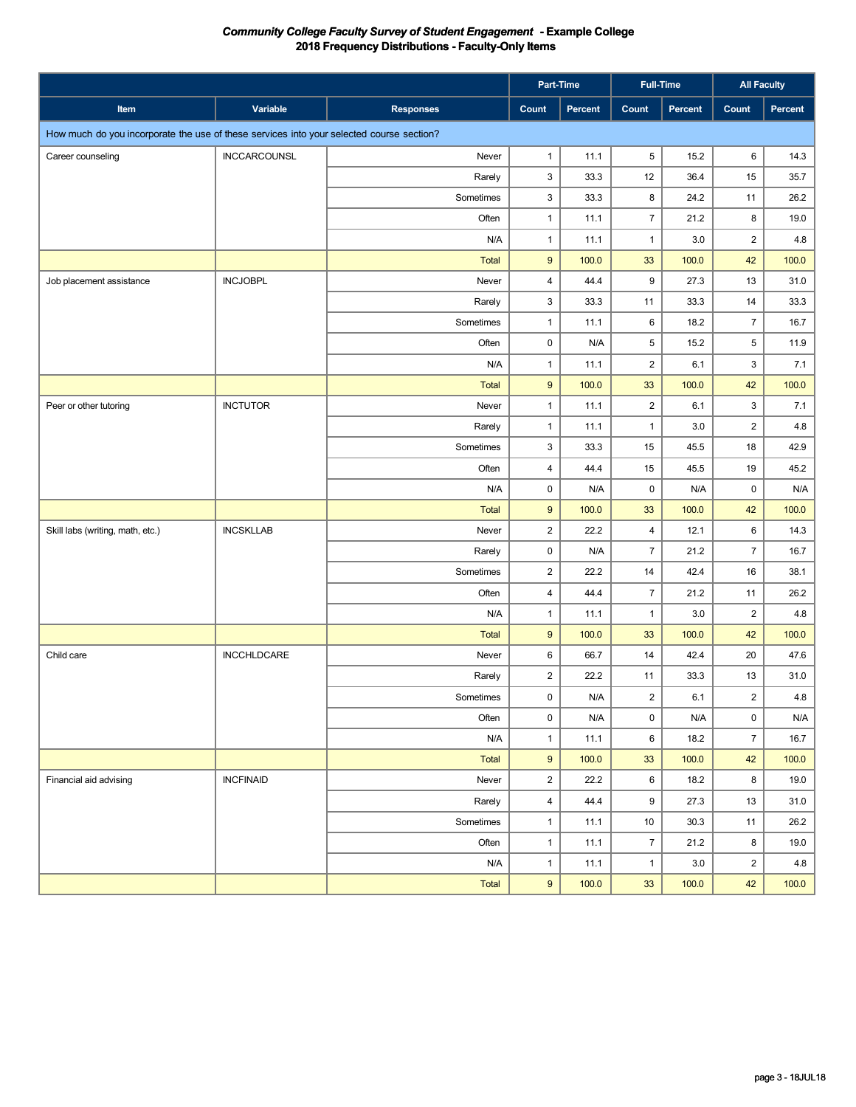|                                                                                          |                     |                  | Part-Time               |                |                  | <b>Full-Time</b> | <b>All Faculty</b>      |         |
|------------------------------------------------------------------------------------------|---------------------|------------------|-------------------------|----------------|------------------|------------------|-------------------------|---------|
| Item                                                                                     | Variable            | <b>Responses</b> | Count                   | <b>Percent</b> | Count            | Percent          | <b>Count</b>            | Percent |
| How much do you incorporate the use of these services into your selected course section? |                     |                  |                         |                |                  |                  |                         |         |
| Career counseling                                                                        | <b>INCCARCOUNSL</b> | Never            | $\mathbf{1}$            | 11.1           | 5                | 15.2             | 6                       | 14.3    |
|                                                                                          |                     | Rarely           | 3                       | 33.3           | 12               | 36.4             | 15                      | 35.7    |
|                                                                                          |                     | Sometimes        | 3                       | 33.3           | 8                | 24.2             | 11                      | 26.2    |
|                                                                                          |                     | Often            | $\mathbf{1}$            | 11.1           | $\overline{7}$   | 21.2             | 8                       | 19.0    |
|                                                                                          |                     | N/A              | $\mathbf{1}$            | 11.1           | $\mathbf{1}$     | 3.0              | $\overline{c}$          | 4.8     |
|                                                                                          |                     | Total            | $\boldsymbol{9}$        | 100.0          | 33               | 100.0            | 42                      | 100.0   |
| Job placement assistance                                                                 | <b>INCJOBPL</b>     | Never            | $\overline{4}$          | 44.4           | $\boldsymbol{9}$ | 27.3             | 13                      | 31.0    |
|                                                                                          |                     | Rarely           | 3                       | 33.3           | 11               | 33.3             | 14                      | 33.3    |
|                                                                                          |                     | Sometimes        | $\mathbf{1}$            | 11.1           | 6                | 18.2             | $\overline{7}$          | 16.7    |
|                                                                                          |                     | Often            | 0                       | N/A            | 5                | 15.2             | 5                       | 11.9    |
|                                                                                          |                     | N/A              | $\mathbf{1}$            | 11.1           | $\overline{2}$   | 6.1              | 3                       | 7.1     |
|                                                                                          |                     | <b>Total</b>     | $9\,$                   | 100.0          | 33               | 100.0            | 42                      | 100.0   |
| Peer or other tutoring                                                                   | <b>INCTUTOR</b>     | Never            | $\mathbf{1}$            | 11.1           | $\overline{2}$   | 6.1              | 3                       | 7.1     |
|                                                                                          |                     | Rarely           | $\mathbf{1}$            | 11.1           | $\mathbf{1}$     | 3.0              | $\overline{\mathbf{c}}$ | 4.8     |
|                                                                                          |                     | Sometimes        | 3                       | 33.3           | 15               | 45.5             | 18                      | 42.9    |
|                                                                                          |                     | Often            | $\overline{\mathbf{4}}$ | 44.4           | 15               | 45.5             | 19                      | 45.2    |
|                                                                                          |                     | N/A              | 0                       | N/A            | $\pmb{0}$        | N/A              | 0                       | N/A     |
|                                                                                          |                     | <b>Total</b>     | $9\,$                   | 100.0          | 33               | 100.0            | 42                      | 100.0   |
| Skill labs (writing, math, etc.)                                                         | <b>INCSKLLAB</b>    | Never            | $\overline{c}$          | 22.2           | $\overline{4}$   | 12.1             | 6                       | 14.3    |
|                                                                                          |                     | Rarely           | 0                       | N/A            | $\overline{7}$   | 21.2             | $\overline{7}$          | 16.7    |
|                                                                                          |                     | Sometimes        | $\overline{2}$          | 22.2           | 14               | 42.4             | 16                      | 38.1    |
|                                                                                          |                     | Often            | $\overline{\mathbf{4}}$ | 44.4           | $\overline{7}$   | 21.2             | 11                      | 26.2    |
|                                                                                          |                     | N/A              | $\mathbf{1}$            | 11.1           | $\mathbf{1}$     | 3.0              | $\overline{2}$          | 4.8     |
|                                                                                          |                     | <b>Total</b>     | 9                       | 100.0          | 33               | 100.0            | 42                      | 100.0   |
| Child care                                                                               | <b>INCCHLDCARE</b>  | Never            | 6                       | 66.7           | 14               | 42.4             | 20                      | 47.6    |
|                                                                                          |                     | Rarely           | $\overline{\mathbf{c}}$ | 22.2           | 11               | 33.3             | 13                      | 31.0    |
|                                                                                          |                     | Sometimes        | $\mathbf 0$             | N/A            | $\overline{2}$   | 6.1              | $\overline{2}$          | 4.8     |
|                                                                                          |                     | Often            | $\pmb{0}$               | N/A            | $\mathsf 0$      | N/A              | 0                       | N/A     |
|                                                                                          |                     | N/A              | $\mathbf{1}$            | 11.1           | 6                | 18.2             | $\overline{7}$          | 16.7    |
|                                                                                          |                     | Total            | $\boldsymbol{9}$        | 100.0          | 33               | 100.0            | 42                      | 100.0   |
| Financial aid advising                                                                   | <b>INCFINAID</b>    | Never            | $\overline{2}$          | 22.2           | 6                | 18.2             | 8                       | 19.0    |
|                                                                                          |                     | Rarely           | $\overline{\mathbf{4}}$ | 44.4           | 9                | 27.3             | 13                      | 31.0    |
|                                                                                          |                     | Sometimes        | $\mathbf{1}$            | 11.1           | 10               | 30.3             | 11                      | 26.2    |
|                                                                                          |                     | Often            | $\mathbf{1}$            | 11.1           | $\overline{7}$   | 21.2             | 8                       | 19.0    |
|                                                                                          |                     | N/A              | $\mathbf{1}$            | 11.1           | $\mathbf{1}$     | 3.0              | $\overline{c}$          | 4.8     |
|                                                                                          |                     | Total            | 9                       | 100.0          | 33               | 100.0            | 42                      | 100.0   |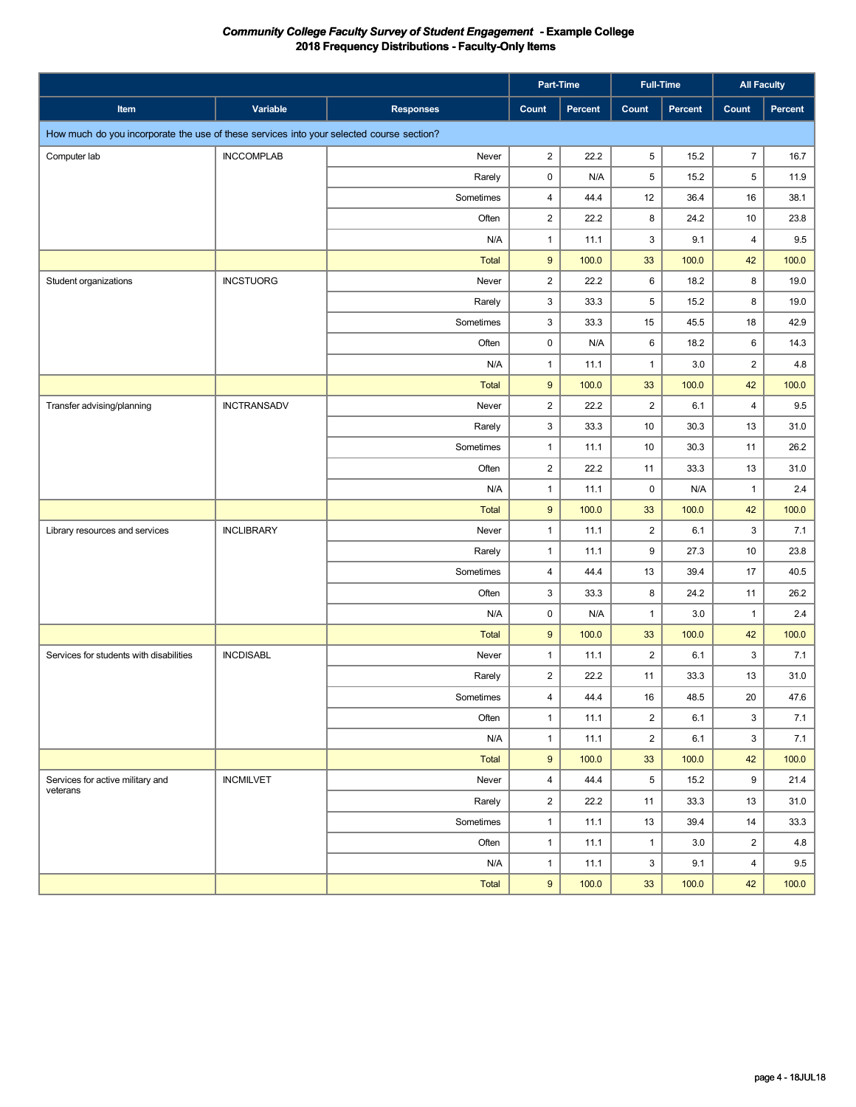|                                                                                          |                    |                  | Part-Time               |         | <b>Full-Time</b> |         | <b>All Faculty</b>      |                |
|------------------------------------------------------------------------------------------|--------------------|------------------|-------------------------|---------|------------------|---------|-------------------------|----------------|
| Item                                                                                     | Variable           | <b>Responses</b> | Count                   | Percent | Count            | Percent | Count                   | <b>Percent</b> |
| How much do you incorporate the use of these services into your selected course section? |                    |                  |                         |         |                  |         |                         |                |
| Computer lab                                                                             | <b>INCCOMPLAB</b>  | Never            | $\overline{\mathbf{c}}$ | 22.2    | 5                | 15.2    | $\overline{7}$          | 16.7           |
|                                                                                          |                    | Rarely           | 0                       | N/A     | 5                | 15.2    | 5                       | 11.9           |
|                                                                                          |                    | Sometimes        | 4                       | 44.4    | 12               | 36.4    | 16                      | 38.1           |
|                                                                                          |                    | Often            | 2                       | 22.2    | 8                | 24.2    | 10                      | 23.8           |
|                                                                                          |                    | N/A              | 1                       | 11.1    | $\mathsf 3$      | 9.1     | $\overline{4}$          | 9.5            |
|                                                                                          |                    | <b>Total</b>     | 9                       | 100.0   | 33               | 100.0   | 42                      | 100.0          |
| Student organizations                                                                    | <b>INCSTUORG</b>   | Never            | $\overline{\mathbf{c}}$ | 22.2    | 6                | 18.2    | 8                       | 19.0           |
|                                                                                          |                    | Rarely           | 3                       | 33.3    | 5                | 15.2    | 8                       | 19.0           |
|                                                                                          |                    | Sometimes        | 3                       | 33.3    | 15               | 45.5    | 18                      | 42.9           |
|                                                                                          |                    | Often            | 0                       | N/A     | 6                | 18.2    | 6                       | 14.3           |
|                                                                                          |                    | N/A              | 1                       | 11.1    | $\mathbf{1}$     | 3.0     | $\overline{2}$          | 4.8            |
|                                                                                          |                    | <b>Total</b>     | 9                       | 100.0   | 33               | 100.0   | 42                      | 100.0          |
| Transfer advising/planning                                                               | <b>INCTRANSADV</b> | Never            | $\overline{\mathbf{c}}$ | 22.2    | $\overline{2}$   | 6.1     | $\overline{4}$          | 9.5            |
|                                                                                          |                    | Rarely           | 3                       | 33.3    | 10               | 30.3    | 13                      | 31.0           |
|                                                                                          |                    | Sometimes        | $\mathbf{1}$            | 11.1    | 10               | 30.3    | 11                      | 26.2           |
|                                                                                          |                    | Often            | 2                       | 22.2    | 11               | 33.3    | 13                      | 31.0           |
|                                                                                          |                    | N/A              | $\mathbf{1}$            | 11.1    | 0                | N/A     | $\mathbf{1}$            | 2.4            |
|                                                                                          |                    | <b>Total</b>     | 9                       | 100.0   | 33               | 100.0   | 42                      | 100.0          |
| Library resources and services                                                           | <b>INCLIBRARY</b>  | Never            | 1                       | 11.1    | $\overline{2}$   | 6.1     | 3                       | 7.1            |
|                                                                                          |                    | Rarely           | $\mathbf{1}$            | 11.1    | 9                | 27.3    | 10                      | 23.8           |
|                                                                                          |                    | Sometimes        | 4                       | 44.4    | 13               | 39.4    | 17                      | 40.5           |
|                                                                                          |                    | Often            | 3                       | 33.3    | 8                | 24.2    | 11                      | 26.2           |
|                                                                                          |                    | N/A              | 0                       | N/A     | $\mathbf{1}$     | 3.0     | $\mathbf{1}$            | 2.4            |
|                                                                                          |                    | <b>Total</b>     | 9                       | 100.0   | 33               | 100.0   | 42                      | 100.0          |
| Services for students with disabilities                                                  | <b>INCDISABL</b>   | Never            | 1                       | 11.1    | $\overline{2}$   | 6.1     | 3                       | 7.1            |
|                                                                                          |                    | Rarely           | 2                       | 22.2    | 11               | 33.3    | 13                      | 31.0           |
|                                                                                          |                    | Sometimes        | $\overline{4}$          | 44.4    | $16\,$           | 48.5    | 20                      | 47.6           |
|                                                                                          |                    | Often            | $\mathbf{1}$            | 11.1    | $\overline{2}$   | 6.1     | 3                       | 7.1            |
|                                                                                          |                    | N/A              | $\mathbf{1}$            | 11.1    | $\overline{a}$   | 6.1     | 3                       | 7.1            |
|                                                                                          |                    | Total            | 9                       | 100.0   | 33               | 100.0   | 42                      | 100.0          |
| Services for active military and                                                         | <b>INCMILVET</b>   | Never            | 4                       | 44.4    | 5                | 15.2    | 9                       | 21.4           |
| veterans                                                                                 |                    | Rarely           | $\overline{c}$          | 22.2    | 11               | 33.3    | 13                      | 31.0           |
|                                                                                          |                    | Sometimes        | $\mathbf{1}$            | 11.1    | 13               | 39.4    | 14                      | 33.3           |
|                                                                                          |                    | Often            | $\mathbf{1}$            | 11.1    | $\mathbf{1}$     | 3.0     | $\overline{\mathbf{c}}$ | 4.8            |
|                                                                                          |                    | N/A              | $\mathbf{1}$            | 11.1    | 3                | 9.1     | $\overline{4}$          | 9.5            |
|                                                                                          |                    | Total            | 9                       | 100.0   | 33               | 100.0   | 42                      | 100.0          |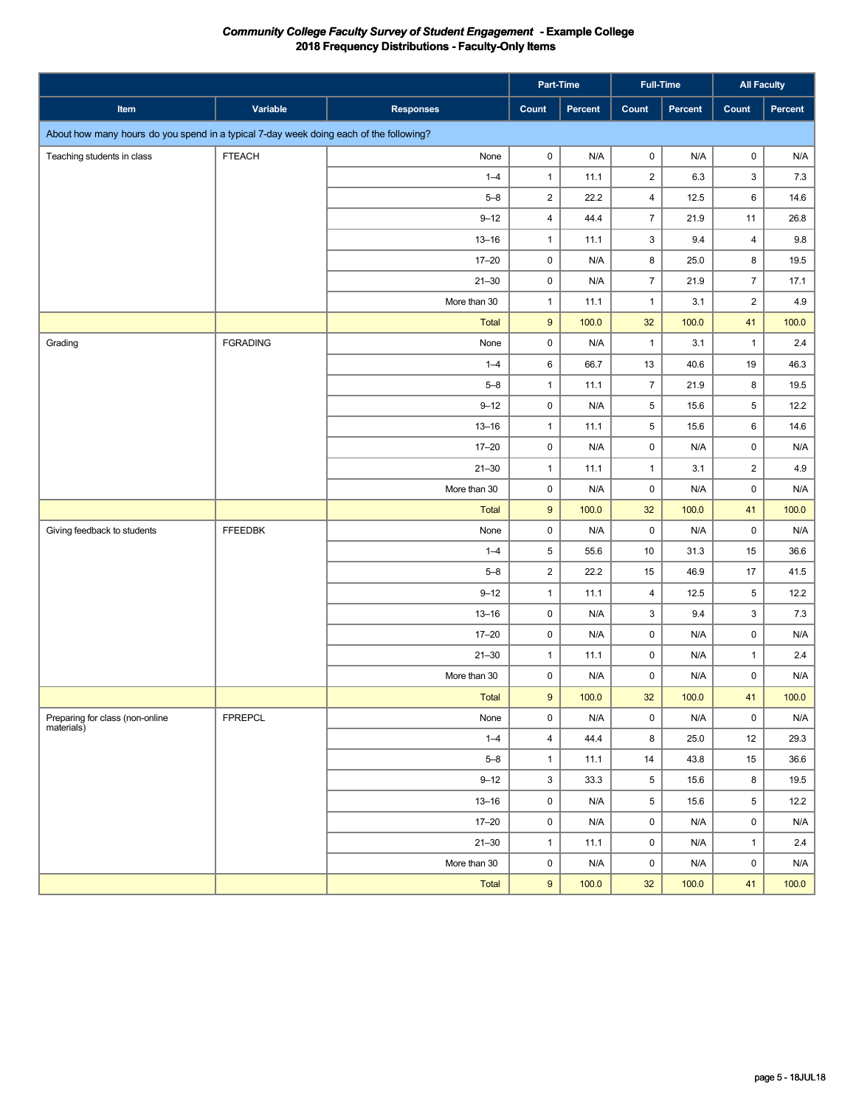|                                                                                        |                 |                  | Part-Time               |         | Full-Time               |         | <b>All Faculty</b>      |                         |
|----------------------------------------------------------------------------------------|-----------------|------------------|-------------------------|---------|-------------------------|---------|-------------------------|-------------------------|
| Item                                                                                   | Variable        | <b>Responses</b> | Count                   | Percent | Count                   | Percent | Count                   | Percent                 |
| About how many hours do you spend in a typical 7-day week doing each of the following? |                 |                  |                         |         |                         |         |                         |                         |
| Teaching students in class                                                             | <b>FTEACH</b>   | None             | 0                       | N/A     | $\mathbf 0$             | N/A     | $\mathbf 0$             | N/A                     |
|                                                                                        |                 | $1 - 4$          | $\mathbf{1}$            | 11.1    | $\overline{\mathbf{c}}$ | 6.3     | 3                       | 7.3                     |
|                                                                                        |                 | $5 - 8$          | $\overline{c}$          | 22.2    | $\overline{\mathbf{4}}$ | 12.5    | 6                       | 14.6                    |
|                                                                                        |                 | $9 - 12$         | 4                       | 44.4    | $\overline{7}$          | 21.9    | 11                      | 26.8                    |
|                                                                                        |                 | $13 - 16$        | $\mathbf{1}$            | 11.1    | $\mathfrak{Z}$          | 9.4     | $\overline{\mathbf{4}}$ | $9.8\,$                 |
|                                                                                        |                 | $17 - 20$        | 0                       | N/A     | 8                       | 25.0    | 8                       | 19.5                    |
|                                                                                        |                 | $21 - 30$        | 0                       | N/A     | $\overline{7}$          | 21.9    | $\overline{7}$          | 17.1                    |
|                                                                                        |                 | More than 30     | $\mathbf{1}$            | 11.1    | $\mathbf{1}$            | 3.1     | $\sqrt{2}$              | 4.9                     |
|                                                                                        |                 | <b>Total</b>     | $\boldsymbol{9}$        | 100.0   | 32                      | 100.0   | 41                      | 100.0                   |
| Grading                                                                                | <b>FGRADING</b> | None             | 0                       | N/A     | $\mathbf{1}$            | 3.1     | $\mathbf{1}$            | 2.4                     |
|                                                                                        |                 | $1 - 4$          | 6                       | 66.7    | 13                      | 40.6    | 19                      | 46.3                    |
|                                                                                        |                 | $5 - 8$          | $\mathbf{1}$            | 11.1    | $\overline{7}$          | 21.9    | 8                       | 19.5                    |
|                                                                                        |                 | $9 - 12$         | 0                       | N/A     | 5                       | 15.6    | 5                       | 12.2                    |
|                                                                                        |                 | $13 - 16$        | $\mathbf{1}$            | 11.1    | 5                       | 15.6    | 6                       | 14.6                    |
|                                                                                        |                 | $17 - 20$        | 0                       | N/A     | $\mathbf 0$             | N/A     | $\mathsf 0$             | N/A                     |
|                                                                                        |                 | $21 - 30$        | $\mathbf{1}$            | 11.1    | $\mathbf{1}$            | 3.1     | $\overline{\mathbf{c}}$ | 4.9                     |
|                                                                                        |                 | More than 30     | 0                       | N/A     | 0                       | N/A     | $\mathsf 0$             | N/A                     |
|                                                                                        |                 | Total            | $\boldsymbol{9}$        | 100.0   | 32                      | 100.0   | 41                      | 100.0                   |
| Giving feedback to students                                                            | <b>FFEEDBK</b>  | None             | 0                       | N/A     | $\mathsf{O}\xspace$     | N/A     | $\mathsf 0$             | N/A                     |
|                                                                                        |                 | $1 - 4$          | 5                       | 55.6    | 10                      | 31.3    | 15                      | 36.6                    |
|                                                                                        |                 | $5 - 8$          | $\overline{\mathbf{c}}$ | 22.2    | 15                      | 46.9    | 17                      | 41.5                    |
|                                                                                        |                 | $9 - 12$         | $\mathbf{1}$            | 11.1    | $\overline{4}$          | 12.5    | 5                       | 12.2                    |
|                                                                                        |                 | $13 - 16$        | 0                       | N/A     | 3                       | 9.4     | $\mathbf{3}$            | 7.3                     |
|                                                                                        |                 | $17 - 20$        | 0                       | N/A     | $\mathsf{O}\xspace$     | N/A     | $\mathsf{O}\xspace$     | $\mathsf{N}/\mathsf{A}$ |
|                                                                                        |                 | $21 - 30$        | $\mathbf{1}$            | 11.1    | $\mathsf 0$             | N/A     | $\mathbf{1}$            | 2.4                     |
|                                                                                        |                 | More than 30     | 0                       | N/A     | $\mathsf{O}\xspace$     | N/A     | $\mathsf{O}\xspace$     | N/A                     |
|                                                                                        |                 | Total            | 9                       | 100.0   | 32                      | 100.0   | 41                      | 100.0                   |
| Preparing for class (non-online<br>materials)                                          | <b>FPREPCL</b>  | None             | 0                       | N/A     | $\mathbf 0$             | N/A     | $\mathbf 0$             | N/A                     |
|                                                                                        |                 | $1 - 4$          | $\overline{4}$          | 44.4    | 8                       | 25.0    | 12                      | 29.3                    |
|                                                                                        |                 | $5 - 8$          | $\mathbf{1}$            | 11.1    | $14$                    | 43.8    | 15                      | 36.6                    |
|                                                                                        |                 | $9 - 12$         | 3                       | 33.3    | 5                       | 15.6    | 8                       | 19.5                    |
|                                                                                        |                 | $13 - 16$        | 0                       | N/A     | $\,$ 5 $\,$             | 15.6    | 5                       | 12.2                    |
|                                                                                        |                 | $17 - 20$        | 0                       | N/A     | $\pmb{0}$               | N/A     | 0                       | N/A                     |
|                                                                                        |                 | $21 - 30$        | $\mathbf{1}$            | 11.1    | $\mathsf{O}\xspace$     | N/A     | $\mathbf{1}$            | 2.4                     |
|                                                                                        |                 | More than 30     | 0                       | N/A     | $\pmb{0}$               | N/A     | $\mathsf{O}\xspace$     | N/A                     |
|                                                                                        |                 | Total            | $\boldsymbol{9}$        | 100.0   | 32                      | 100.0   | 41                      | 100.0                   |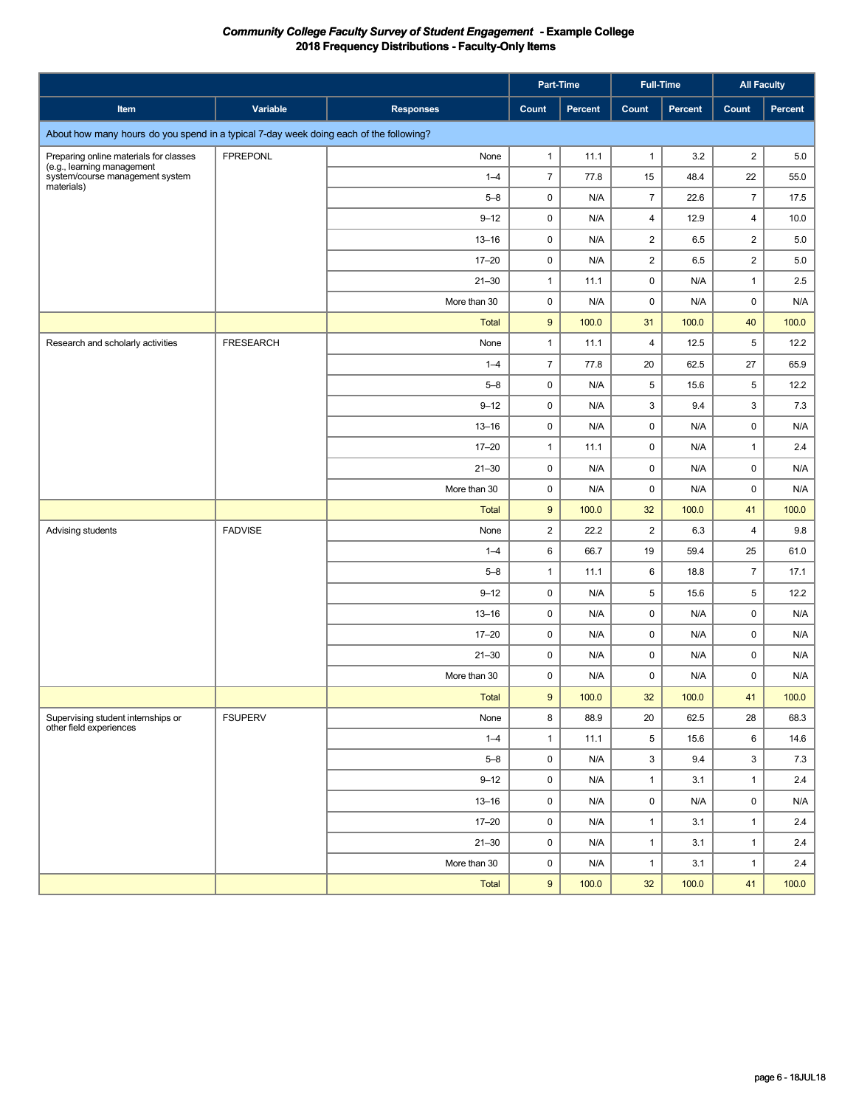|                                                                                        |                  |                  | Part-Time               |         |                 | <b>Full-Time</b> | <b>All Faculty</b>      |         |
|----------------------------------------------------------------------------------------|------------------|------------------|-------------------------|---------|-----------------|------------------|-------------------------|---------|
| Item                                                                                   | Variable         | <b>Responses</b> | Count                   | Percent | Count           | <b>Percent</b>   | Count                   | Percent |
| About how many hours do you spend in a typical 7-day week doing each of the following? |                  |                  |                         |         |                 |                  |                         |         |
| Preparing online materials for classes                                                 | <b>FPREPONL</b>  | None             | $\mathbf{1}$            | 11.1    | $\mathbf{1}$    | 3.2              | $\overline{\mathbf{c}}$ | 5.0     |
| (e.g., learning management<br>system/course management system<br>materials)            |                  | $1 - 4$          | $\overline{7}$          | 77.8    | 15              | 48.4             | 22                      | 55.0    |
|                                                                                        |                  | $5 - 8$          | 0                       | N/A     | $\overline{7}$  | 22.6             | $\overline{7}$          | 17.5    |
|                                                                                        |                  | $9 - 12$         | 0                       | N/A     | 4               | 12.9             | $\overline{\mathbf{4}}$ | 10.0    |
|                                                                                        |                  | $13 - 16$        | 0                       | N/A     | $\overline{2}$  | 6.5              | $\overline{c}$          | 5.0     |
|                                                                                        |                  | $17 - 20$        | 0                       | N/A     | $\overline{2}$  | 6.5              | $\overline{c}$          | 5.0     |
|                                                                                        |                  | $21 - 30$        | $\mathbf{1}$            | 11.1    | $\mathsf 0$     | N/A              | $\mathbf{1}$            | 2.5     |
|                                                                                        |                  | More than 30     | 0                       | N/A     | 0               | N/A              | $\mathbf 0$             | N/A     |
|                                                                                        |                  | <b>Total</b>     | $\boldsymbol{9}$        | 100.0   | 31              | 100.0            | 40                      | 100.0   |
| Research and scholarly activities                                                      | <b>FRESEARCH</b> | None             | $\mathbf{1}$            | 11.1    | $\overline{4}$  | 12.5             | 5                       | 12.2    |
|                                                                                        |                  | $1 - 4$          | $\overline{7}$          | 77.8    | 20              | 62.5             | 27                      | 65.9    |
|                                                                                        |                  | $5 - 8$          | 0                       | N/A     | 5               | 15.6             | 5                       | 12.2    |
|                                                                                        |                  | $9 - 12$         | 0                       | N/A     | 3               | 9.4              | 3                       | 7.3     |
|                                                                                        |                  | $13 - 16$        | 0                       | N/A     | $\mathsf 0$     | N/A              | $\mathsf 0$             | N/A     |
|                                                                                        |                  | $17 - 20$        | $\mathbf{1}$            | 11.1    | 0               | N/A              | $\mathbf{1}$            | 2.4     |
|                                                                                        |                  | $21 - 30$        | 0                       | N/A     | $\mathsf 0$     | N/A              | 0                       | N/A     |
|                                                                                        |                  | More than 30     | 0                       | N/A     | 0               | N/A              | 0                       | N/A     |
|                                                                                        |                  | <b>Total</b>     | $\boldsymbol{9}$        | 100.0   | 32              | 100.0            | 41                      | 100.0   |
| Advising students                                                                      | <b>FADVISE</b>   | None             | $\overline{\mathbf{c}}$ | 22.2    | $\overline{2}$  | 6.3              | $\overline{4}$          | 9.8     |
|                                                                                        |                  | $1 - 4$          | 6                       | 66.7    | 19              | 59.4             | 25                      | 61.0    |
|                                                                                        |                  | $5 - 8$          | $\mathbf{1}$            | 11.1    | 6               | 18.8             | $\overline{7}$          | 17.1    |
|                                                                                        |                  | $9 - 12$         | 0                       | N/A     | 5               | 15.6             | 5                       | 12.2    |
|                                                                                        |                  | $13 - 16$        | 0                       | N/A     | 0               | N/A              | $\mathsf 0$             | N/A     |
|                                                                                        |                  | $17 - 20$        | 0                       | N/A     | 0               | N/A              | 0                       | N/A     |
|                                                                                        |                  | $21 - 30$        | 0                       | N/A     | 0               | N/A              | 0                       | N/A     |
|                                                                                        |                  | More than 30     | 0                       | N/A     | 0               | N/A              | 0                       | N/A     |
|                                                                                        |                  | <b>Total</b>     | $9\,$                   | 100.0   | 32              | 100.0            | 41                      | 100.0   |
| Supervising student internships or<br>other field experiences                          | <b>FSUPERV</b>   | None             | 8                       | 88.9    | 20              | 62.5             | 28                      | 68.3    |
|                                                                                        |                  | $1 - 4$          | $\mathbf{1}$            | 11.1    | $5\phantom{.0}$ | 15.6             | 6                       | 14.6    |
|                                                                                        |                  | $5 - 8$          | 0                       | N/A     | 3               | 9.4              | $\mathbf{3}$            | 7.3     |
|                                                                                        |                  | $9 - 12$         | 0                       | N/A     | $\mathbf{1}$    | 3.1              | $\mathbf{1}$            | 2.4     |
|                                                                                        |                  | $13 - 16$        | 0                       | N/A     | $\mathsf 0$     | N/A              | $\mathbf 0$             | N/A     |
|                                                                                        |                  | $17 - 20$        | 0                       | N/A     | $\mathbf{1}$    | 3.1              | $\mathbf{1}$            | 2.4     |
|                                                                                        |                  | $21 - 30$        | 0                       | N/A     | $\mathbf{1}$    | 3.1              | $\mathbf{1}$            | 2.4     |
|                                                                                        |                  | More than 30     | 0                       | N/A     | $\mathbf{1}$    | 3.1              | $\mathbf{1}$            | 2.4     |
|                                                                                        |                  | Total            | 9                       | 100.0   | 32              | 100.0            | 41                      | 100.0   |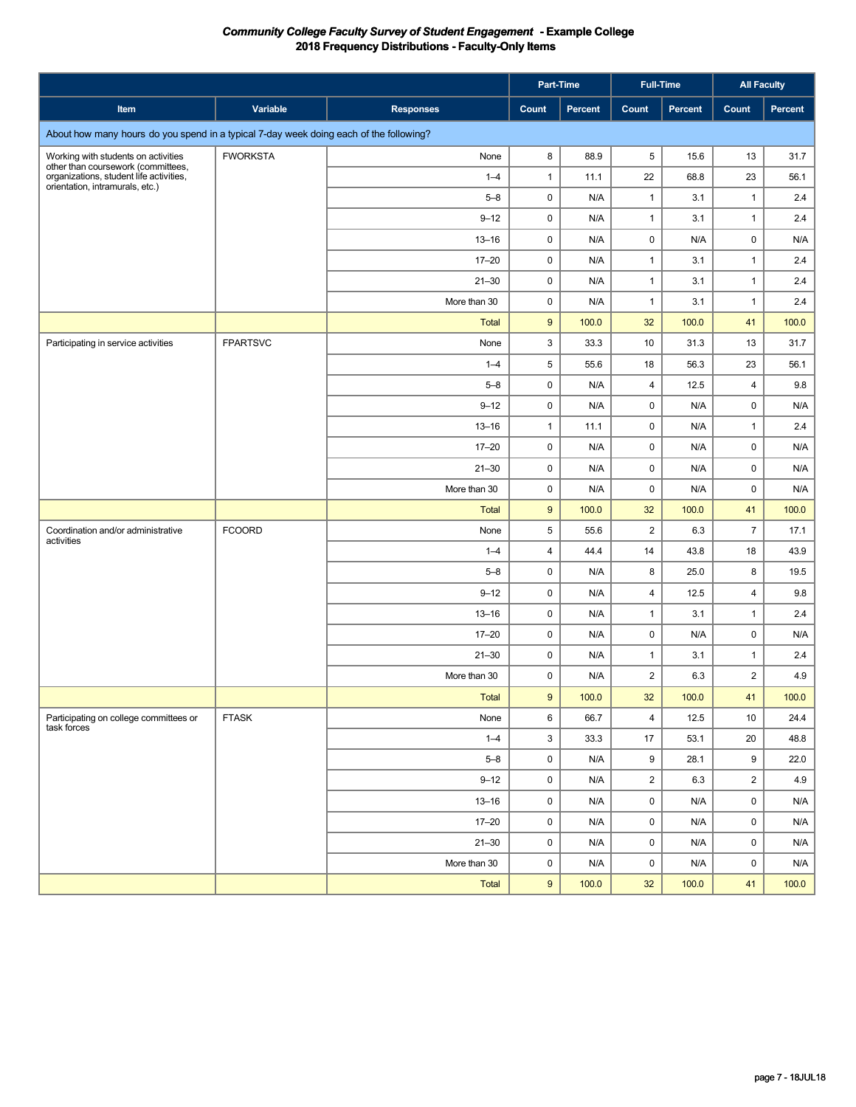|                                                                                                                  |                 |                  |       | Part-Time | <b>Full-Time</b>        |         | <b>All Faculty</b> |         |
|------------------------------------------------------------------------------------------------------------------|-----------------|------------------|-------|-----------|-------------------------|---------|--------------------|---------|
| Item                                                                                                             | Variable        | <b>Responses</b> | Count | Percent   | Count                   | Percent | Count              | Percent |
| About how many hours do you spend in a typical 7-day week doing each of the following?                           |                 |                  |       |           |                         |         |                    |         |
| Working with students on activities                                                                              | <b>FWORKSTA</b> | None             | 8     | 88.9      | 5                       | 15.6    | 13                 | 31.7    |
| other than coursework (committees,<br>organizations, student life activities,<br>orientation, intramurals, etc.) |                 | $1 - 4$          | 1     | 11.1      | 22                      | 68.8    | 23                 | 56.1    |
|                                                                                                                  |                 | $5 - 8$          | 0     | N/A       | $\mathbf{1}$            | 3.1     | $\mathbf{1}$       | 2.4     |
|                                                                                                                  |                 | $9 - 12$         | 0     | N/A       | $\mathbf{1}$            | 3.1     | $\mathbf{1}$       | 2.4     |
|                                                                                                                  |                 | $13 - 16$        | 0     | N/A       | 0                       | N/A     | $\mathbf 0$        | N/A     |
|                                                                                                                  |                 | $17 - 20$        | 0     | N/A       | $\mathbf{1}$            | 3.1     | $\mathbf{1}$       | 2.4     |
|                                                                                                                  |                 | $21 - 30$        | 0     | N/A       | $\mathbf{1}$            | 3.1     | $\mathbf{1}$       | 2.4     |
|                                                                                                                  |                 | More than 30     | 0     | N/A       | $\mathbf{1}$            | 3.1     | $\mathbf{1}$       | 2.4     |
|                                                                                                                  |                 | <b>Total</b>     | 9     | 100.0     | 32                      | 100.0   | 41                 | 100.0   |
| Participating in service activities                                                                              | <b>FPARTSVC</b> | None             | 3     | 33.3      | 10                      | 31.3    | 13                 | 31.7    |
|                                                                                                                  |                 | $1 - 4$          | 5     | 55.6      | 18                      | 56.3    | 23                 | 56.1    |
|                                                                                                                  |                 | $5 - 8$          | 0     | N/A       | 4                       | 12.5    | $\overline{4}$     | 9.8     |
|                                                                                                                  |                 | $9 - 12$         | 0     | N/A       | 0                       | N/A     | 0                  | N/A     |
|                                                                                                                  |                 | $13 - 16$        | 1     | 11.1      | 0                       | N/A     | $\mathbf{1}$       | 2.4     |
|                                                                                                                  |                 | $17 - 20$        | 0     | N/A       | 0                       | N/A     | 0                  | N/A     |
|                                                                                                                  |                 | $21 - 30$        | 0     | N/A       | 0                       | N/A     | $\mathbf 0$        | N/A     |
|                                                                                                                  |                 | More than 30     | 0     | N/A       | $\pmb{0}$               | N/A     | $\mathbf 0$        | N/A     |
|                                                                                                                  |                 | <b>Total</b>     | 9     | 100.0     | 32                      | 100.0   | 41                 | 100.0   |
| Coordination and/or administrative<br>activities                                                                 | <b>FCOORD</b>   | None             | 5     | 55.6      | $\overline{2}$          | 6.3     | $\overline{7}$     | 17.1    |
|                                                                                                                  |                 | $1 - 4$          | 4     | 44.4      | 14                      | 43.8    | 18                 | 43.9    |
|                                                                                                                  |                 | $5 - 8$          | 0     | N/A       | 8                       | 25.0    | 8                  | 19.5    |
|                                                                                                                  |                 | $9 - 12$         | 0     | N/A       | $\overline{4}$          | 12.5    | $\overline{4}$     | 9.8     |
|                                                                                                                  |                 | $13 - 16$        | 0     | N/A       | $\mathbf{1}$            | 3.1     | $\mathbf{1}$       | 2.4     |
|                                                                                                                  |                 | $17 - 20$        | 0     | N/A       | 0                       | N/A     | 0                  | N/A     |
|                                                                                                                  |                 | $21 - 30$        | 0     | N/A       | $\mathbf{1}$            | 3.1     | $\mathbf{1}$       | 2.4     |
|                                                                                                                  |                 | More than 30     | 0     | N/A       | $\overline{2}$          | 6.3     | $\overline{2}$     | 4.9     |
|                                                                                                                  |                 | <b>Total</b>     | 9     | 100.0     | 32                      | 100.0   | 41                 | 100.0   |
| Participating on college committees or<br>task forces                                                            | <b>FTASK</b>    | None             | 6     | 66.7      | $\overline{\mathbf{4}}$ | 12.5    | 10                 | 24.4    |
|                                                                                                                  |                 | $1 - 4$          | 3     | 33.3      | 17                      | 53.1    | 20                 | 48.8    |
|                                                                                                                  |                 | $5 - 8$          | 0     | N/A       | 9                       | 28.1    | 9                  | 22.0    |
|                                                                                                                  |                 | $9 - 12$         | 0     | N/A       | $\overline{2}$          | 6.3     | $\overline{2}$     | 4.9     |
|                                                                                                                  |                 | $13 - 16$        | 0     | N/A       | $\mathsf 0$             | N/A     | 0                  | N/A     |
|                                                                                                                  |                 | $17 - 20$        | 0     | N/A       | $\mathsf 0$             | N/A     | 0                  | N/A     |
|                                                                                                                  |                 | $21 - 30$        | 0     | N/A       | $\mathsf 0$             | N/A     | 0                  | N/A     |
|                                                                                                                  |                 | More than 30     | 0     | N/A       | $\mathsf 0$             | N/A     | 0                  | N/A     |
|                                                                                                                  |                 | Total            | 9     | 100.0     | 32                      | 100.0   | 41                 | 100.0   |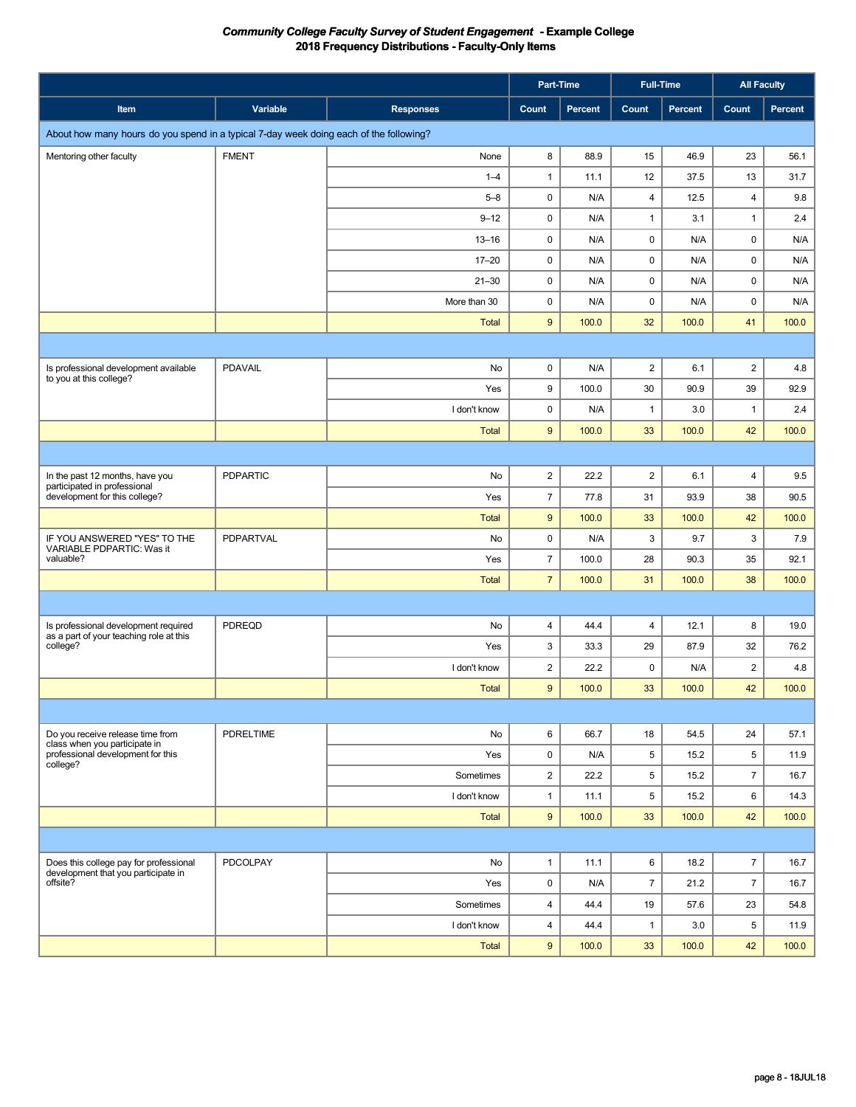|                                                                                                  |                  |                  | Part-Time               |         | <b>Full-Time</b> |                | <b>All Faculty</b>      |         |  |  |
|--------------------------------------------------------------------------------------------------|------------------|------------------|-------------------------|---------|------------------|----------------|-------------------------|---------|--|--|
| Item                                                                                             | Variable         | <b>Responses</b> | Count                   | Percent | Count            | <b>Percent</b> | Count                   | Percent |  |  |
| About how many hours do you spend in a typical 7-day week doing each of the following?           |                  |                  |                         |         |                  |                |                         |         |  |  |
| Mentoring other faculty                                                                          | <b>FMENT</b>     | None             | 8                       | 88.9    | 15               | 46.9           | 23                      | 56.1    |  |  |
|                                                                                                  |                  | $1 - 4$          | $\mathbf{1}$            | 11.1    | 12               | 37.5           | 13                      | 31.7    |  |  |
|                                                                                                  |                  | $5 - 8$          | 0                       | N/A     | 4                | 12.5           | $\overline{\mathbf{4}}$ | 9.8     |  |  |
|                                                                                                  |                  | $9 - 12$         | 0                       | N/A     | $\mathbf{1}$     | 3.1            | $\mathbf{1}$            | 2.4     |  |  |
|                                                                                                  |                  | $13 - 16$        | 0                       | N/A     | $\pmb{0}$        | N/A            | 0                       | N/A     |  |  |
|                                                                                                  |                  | $17 - 20$        | 0                       | N/A     | $\pmb{0}$        | N/A            | 0                       | N/A     |  |  |
|                                                                                                  |                  | $21 - 30$        | 0                       | N/A     | $\pmb{0}$        | N/A            | 0                       | N/A     |  |  |
|                                                                                                  |                  | More than 30     | 0                       | N/A     | $\mathsf 0$      | N/A            | 0                       | N/A     |  |  |
|                                                                                                  |                  | <b>Total</b>     | 9                       | 100.0   | 32               | 100.0          | 41                      | 100.0   |  |  |
|                                                                                                  |                  |                  |                         |         |                  |                |                         |         |  |  |
| Is professional development available                                                            | <b>PDAVAIL</b>   | No               | 0                       | N/A     | $\overline{c}$   | 6.1            | $\sqrt{2}$              | 4.8     |  |  |
| to you at this college?                                                                          |                  | Yes              | 9                       | 100.0   | 30               | 90.9           | 39                      | 92.9    |  |  |
|                                                                                                  |                  | I don't know     | 0                       | N/A     | $\mathbf{1}$     | 3.0            | $\mathbf{1}$            | 2.4     |  |  |
|                                                                                                  |                  | <b>Total</b>     | 9                       | 100.0   | 33               | 100.0          | 42                      | 100.0   |  |  |
|                                                                                                  |                  |                  |                         |         |                  |                |                         |         |  |  |
| In the past 12 months, have you<br>participated in professional<br>development for this college? | <b>PDPARTIC</b>  | No               | $\overline{c}$          | 22.2    | $\overline{2}$   | 6.1            | $\overline{4}$          | 9.5     |  |  |
|                                                                                                  |                  | Yes              | $\overline{7}$          | 77.8    | 31               | 93.9           | 38                      | 90.5    |  |  |
|                                                                                                  |                  | <b>Total</b>     | $\boldsymbol{9}$        | 100.0   | 33               | 100.0          | 42                      | 100.0   |  |  |
| IF YOU ANSWERED "YES" TO THE<br>VARIABLE PDPARTIC: Was it                                        | PDPARTVAL        | No               | 0                       | N/A     | 3                | 9.7            | 3                       | 7.9     |  |  |
| valuable?                                                                                        |                  | Yes              | $\overline{7}$          | 100.0   | 28               | 90.3           | 35                      | 92.1    |  |  |
|                                                                                                  |                  | <b>Total</b>     | $\overline{7}$          | 100.0   | 31               | 100.0          | 38                      | 100.0   |  |  |
|                                                                                                  |                  |                  |                         |         |                  |                |                         |         |  |  |
| Is professional development required                                                             | PDREQD           | No               | 4                       | 44.4    | $\overline{4}$   | 12.1           | 8                       | 19.0    |  |  |
| as a part of your teaching role at this<br>college?                                              |                  | Yes              | 3                       | 33.3    | 29               | 87.9           | 32                      | 76.2    |  |  |
|                                                                                                  |                  | I don't know     | $\overline{\mathbf{c}}$ | 22.2    | 0                | N/A            | $\overline{\mathbf{c}}$ | 4.8     |  |  |
|                                                                                                  |                  | <b>Total</b>     | $9\,$                   | 100.0   | 33               | 100.0          | 42                      | 100.0   |  |  |
|                                                                                                  |                  |                  |                         |         |                  |                |                         |         |  |  |
| Do you receive release time from                                                                 | <b>PDRELTIME</b> | No               | 6                       | 66.7    | 18               | 54.5           | 24                      | 57.1    |  |  |
| class when you participate in<br>professional development for this                               |                  | Yes              | 0                       | N/A     | 5                | 15.2           | $5\phantom{.0}$         | 11.9    |  |  |
| college?                                                                                         |                  | Sometimes        | $\overline{\mathbf{c}}$ | 22.2    | 5                | 15.2           | $\overline{7}$          | 16.7    |  |  |
|                                                                                                  |                  | I don't know     | $\mathbf{1}$            | 11.1    | 5                | 15.2           | 6                       | 14.3    |  |  |
|                                                                                                  |                  | Total            | 9                       | 100.0   | 33               | 100.0          | 42                      | 100.0   |  |  |
|                                                                                                  |                  |                  |                         |         |                  |                |                         |         |  |  |
| Does this college pay for professional                                                           | PDCOLPAY         | No               | $\mathbf{1}$            | 11.1    | 6                | 18.2           | $\overline{7}$          | 16.7    |  |  |
| development that you participate in<br>offsite?                                                  |                  | Yes              | 0                       | N/A     | $\overline{7}$   | 21.2           | $\overline{7}$          | 16.7    |  |  |
|                                                                                                  |                  | Sometimes        | $\overline{4}$          | 44.4    | 19               | 57.6           | 23                      | 54.8    |  |  |
|                                                                                                  |                  | I don't know     | $\overline{4}$          | 44.4    | $\mathbf{1}$     | 3.0            | 5                       | 11.9    |  |  |
|                                                                                                  |                  | Total            | $\boldsymbol{9}$        | 100.0   | 33               | 100.0          | 42                      | 100.0   |  |  |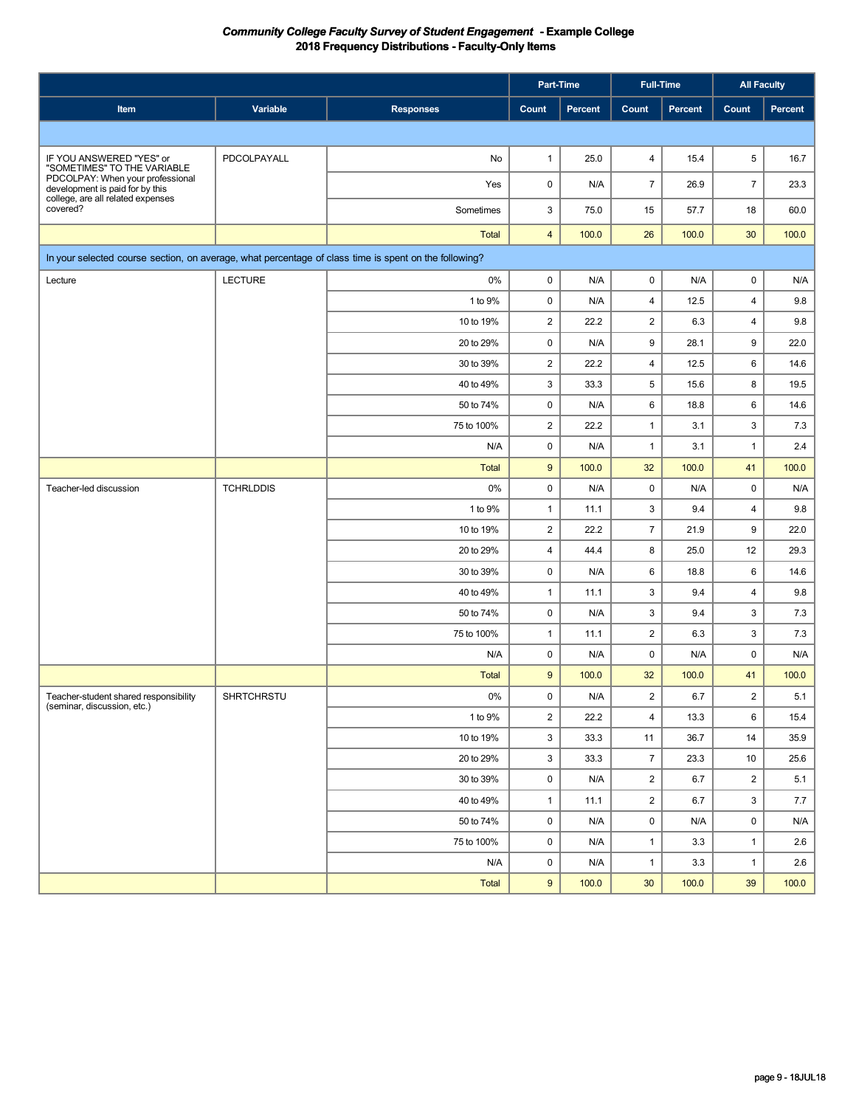|                                                                                                       |                  |                  |                         | Part-Time               | <b>Full-Time</b>        |                | <b>All Faculty</b>      |                |
|-------------------------------------------------------------------------------------------------------|------------------|------------------|-------------------------|-------------------------|-------------------------|----------------|-------------------------|----------------|
| Item                                                                                                  | Variable         | <b>Responses</b> | Count                   | Percent                 | Count                   | <b>Percent</b> | Count                   | <b>Percent</b> |
|                                                                                                       |                  |                  |                         |                         |                         |                |                         |                |
| IF YOU ANSWERED "YES" or                                                                              | PDCOLPAYALL      | No               | 1                       | 25.0                    | 4                       | 15.4           | 5                       | 16.7           |
| "SOMETIMES" TO THE VARIABLE<br>PDCOLPAY: When your professional<br>development is paid for by this    |                  | Yes              | 0                       | N/A                     | $\overline{7}$          | 26.9           | $\overline{7}$          | 23.3           |
| college, are all related expenses<br>covered?                                                         |                  | Sometimes        | 3                       | 75.0                    | 15                      | 57.7           | 18                      | 60.0           |
|                                                                                                       |                  | <b>Total</b>     | $\overline{4}$          | 100.0                   | 26                      | 100.0          | 30                      | 100.0          |
| In your selected course section, on average, what percentage of class time is spent on the following? |                  |                  |                         |                         |                         |                |                         |                |
| Lecture                                                                                               | <b>LECTURE</b>   | $0\%$            | 0                       | N/A                     | 0                       | N/A            | $\mathbf 0$             | N/A            |
|                                                                                                       |                  | 1 to 9%          | 0                       | N/A                     | $\overline{4}$          | 12.5           | $\overline{4}$          | 9.8            |
|                                                                                                       |                  | 10 to 19%        | $\overline{\mathbf{c}}$ | 22.2                    | $\overline{2}$          | 6.3            | $\overline{4}$          | 9.8            |
|                                                                                                       |                  | 20 to 29%        | 0                       | N/A                     | 9                       | 28.1           | 9                       | 22.0           |
|                                                                                                       |                  | 30 to 39%        | 2                       | 22.2                    | $\overline{4}$          | 12.5           | 6                       | 14.6           |
|                                                                                                       |                  | 40 to 49%        | 3                       | 33.3                    | 5                       | 15.6           | 8                       | 19.5           |
|                                                                                                       |                  | 50 to 74%        | 0                       | N/A                     | 6                       | 18.8           | 6                       | 14.6           |
|                                                                                                       |                  | 75 to 100%       | 2                       | 22.2                    | $\mathbf{1}$            | 3.1            | 3                       | 7.3            |
|                                                                                                       |                  | N/A              | 0                       | N/A                     | $\mathbf{1}$            | 3.1            | $\mathbf{1}$            | 2.4            |
|                                                                                                       |                  | <b>Total</b>     | 9                       | 100.0                   | 32                      | 100.0          | 41                      | 100.0          |
| Teacher-led discussion                                                                                | <b>TCHRLDDIS</b> | 0%               | 0                       | N/A                     | 0                       | N/A            | $\mathbf 0$             | N/A            |
|                                                                                                       |                  | 1 to 9%          | 1                       | 11.1                    | 3                       | 9.4            | $\overline{4}$          | 9.8            |
|                                                                                                       |                  | 10 to 19%        | $\overline{c}$          | 22.2                    | $\overline{7}$          | 21.9           | 9                       | 22.0           |
|                                                                                                       |                  | 20 to 29%        | 4                       | 44.4                    | 8                       | 25.0           | 12                      | 29.3           |
|                                                                                                       |                  | 30 to 39%        | 0                       | N/A                     | 6                       | 18.8           | 6                       | 14.6           |
|                                                                                                       |                  | 40 to 49%        | 1                       | 11.1                    | 3                       | 9.4            | $\overline{4}$          | 9.8            |
|                                                                                                       |                  | 50 to 74%        | 0                       | N/A                     | 3                       | 9.4            | 3                       | 7.3            |
|                                                                                                       |                  | 75 to 100%       | 1                       | 11.1                    | $\overline{2}$          | 6.3            | 3                       | 7.3            |
|                                                                                                       |                  | N/A              | 0                       | N/A                     | 0                       | N/A            | 0                       | N/A            |
|                                                                                                       |                  | <b>Total</b>     | 9                       | 100.0                   | 32                      | 100.0          | 41                      | 100.0          |
| Teacher-student shared responsibility<br>(seminar, discussion, etc.)                                  | SHRTCHRSTU       | 0%               | 0                       | $\mathsf{N}/\mathsf{A}$ | $\overline{\mathbf{c}}$ | 6.7            | $\overline{\mathbf{c}}$ | 5.1            |
|                                                                                                       |                  | 1 to 9%          | $\overline{\mathbf{c}}$ | 22.2                    | $\overline{4}$          | 13.3           | 6                       | 15.4           |
|                                                                                                       |                  | 10 to 19%        | 3                       | 33.3                    | 11                      | 36.7           | 14                      | 35.9           |
|                                                                                                       |                  | 20 to 29%        | 3                       | 33.3                    | $\boldsymbol{7}$        | 23.3           | $10$                    | 25.6           |
|                                                                                                       |                  | 30 to 39%        | 0                       | N/A                     | $\overline{c}$          | 6.7            | $\overline{\mathbf{c}}$ | 5.1            |
|                                                                                                       |                  | 40 to 49%        | $\mathbf{1}$            | 11.1                    | $\overline{2}$          | 6.7            | 3                       | 7.7            |
|                                                                                                       |                  | 50 to 74%        | 0                       | N/A                     | $\pmb{0}$               | N/A            | 0                       | N/A            |
|                                                                                                       |                  | 75 to 100%       | 0                       | N/A                     | $\mathbf{1}$            | 3.3            | $\mathbf{1}$            | 2.6            |
|                                                                                                       |                  | N/A              | 0                       | N/A                     | $\mathbf{1}$            | 3.3            | $\mathbf{1}$            | 2.6            |
|                                                                                                       |                  | Total            | $\boldsymbol{9}$        | 100.0                   | 30 <sup>°</sup>         | 100.0          | 39                      | 100.0          |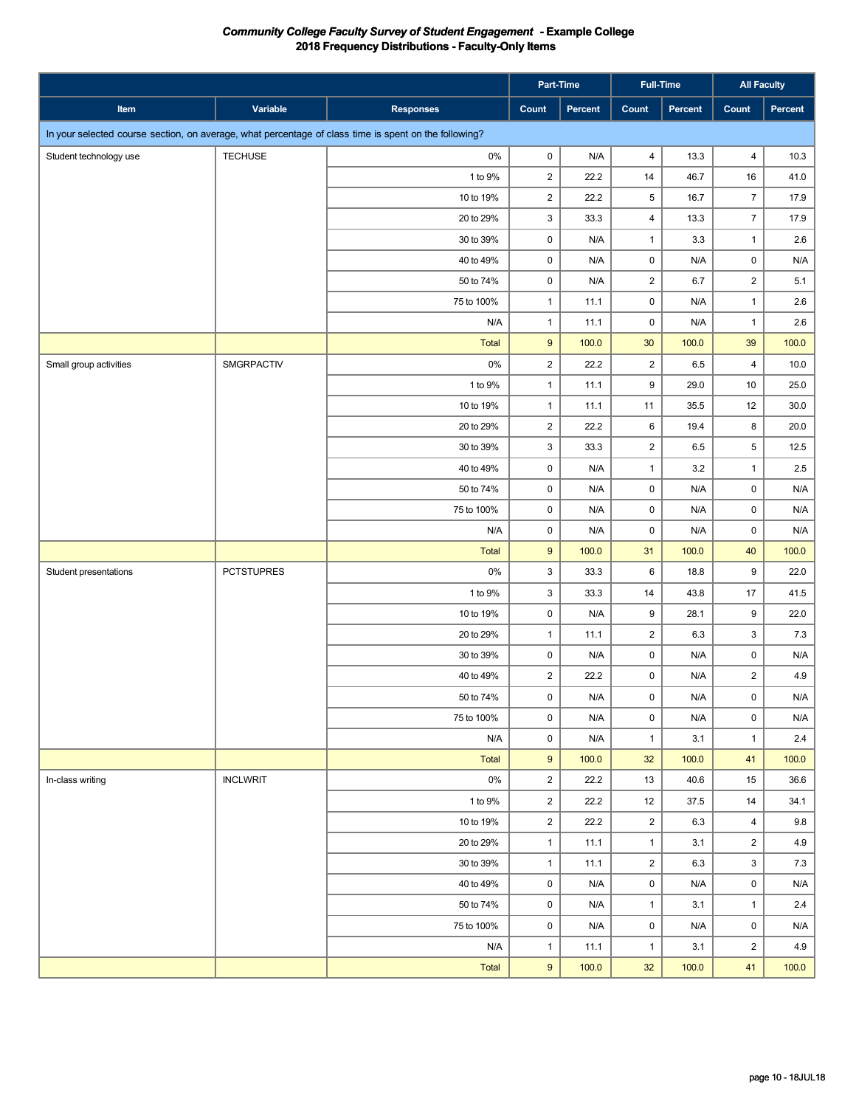|                                                                                                       |                   |                  | Part-Time               |         |                         | <b>Full-Time</b> |                 | <b>All Faculty</b>      |
|-------------------------------------------------------------------------------------------------------|-------------------|------------------|-------------------------|---------|-------------------------|------------------|-----------------|-------------------------|
| Item                                                                                                  | Variable          | <b>Responses</b> | Count                   | Percent | Count                   | Percent          | Count           | Percent                 |
| In your selected course section, on average, what percentage of class time is spent on the following? |                   |                  |                         |         |                         |                  |                 |                         |
| Student technology use                                                                                | <b>TECHUSE</b>    | 0%               | 0                       | N/A     | $\overline{4}$          | 13.3             | $\overline{4}$  | 10.3                    |
|                                                                                                       |                   | 1 to 9%          | $\mathbf 2$             | 22.2    | 14                      | 46.7             | 16              | 41.0                    |
|                                                                                                       |                   | 10 to 19%        | $\overline{2}$          | 22.2    | $\,$ 5 $\,$             | 16.7             | $\overline{7}$  | 17.9                    |
|                                                                                                       |                   | 20 to 29%        | 3                       | 33.3    | $\overline{\mathbf{4}}$ | 13.3             | $\overline{7}$  | 17.9                    |
|                                                                                                       |                   | 30 to 39%        | $\mathsf 0$             | N/A     | $\mathbf{1}$            | 3.3              | $\mathbf{1}$    | 2.6                     |
|                                                                                                       |                   | 40 to 49%        | $\mathsf 0$             | N/A     | $\pmb{0}$               | N/A              | $\pmb{0}$       | $\mathsf{N}/\mathsf{A}$ |
|                                                                                                       |                   | 50 to 74%        | $\pmb{0}$               | N/A     | $\mathbf 2$             | 6.7              | $\mathbf 2$     | 5.1                     |
|                                                                                                       |                   | 75 to 100%       | $\mathbf{1}$            | 11.1    | $\mathsf{O}\xspace$     | N/A              | $\mathbf{1}$    | 2.6                     |
|                                                                                                       |                   | N/A              | $\mathbf{1}$            | 11.1    | $\mathsf 0$             | N/A              | $\mathbf{1}$    | 2.6                     |
|                                                                                                       |                   | Total            | $\boldsymbol{9}$        | 100.0   | 30                      | 100.0            | 39              | 100.0                   |
| Small group activities                                                                                | SMGRPACTIV        | 0%               | $\overline{2}$          | 22.2    | $\overline{2}$          | 6.5              | $\overline{4}$  | 10.0                    |
|                                                                                                       |                   | 1 to 9%          | $\mathbf{1}$            | 11.1    | 9                       | 29.0             | $10$            | 25.0                    |
|                                                                                                       |                   | 10 to 19%        | $\mathbf{1}$            | 11.1    | 11                      | 35.5             | 12              | 30.0                    |
|                                                                                                       |                   | 20 to 29%        | $\overline{\mathbf{c}}$ | 22.2    | $\,6\,$                 | 19.4             | 8               | 20.0                    |
|                                                                                                       |                   | 30 to 39%        | 3                       | 33.3    | $\overline{2}$          | 6.5              | $5\phantom{.0}$ | 12.5                    |
|                                                                                                       |                   | 40 to 49%        | $\mathsf 0$             | N/A     | $\mathbf{1}$            | 3.2              | $\mathbf{1}$    | $2.5\,$                 |
|                                                                                                       |                   | 50 to 74%        | 0                       | N/A     | $\pmb{0}$               | N/A              | $\mathbf 0$     | N/A                     |
|                                                                                                       |                   | 75 to 100%       | $\mathsf 0$             | N/A     | $\mathsf 0$             | N/A              | $\mathsf 0$     | N/A                     |
|                                                                                                       |                   | N/A              | 0                       | N/A     | $\mathsf 0$             | N/A              | $\mathsf 0$     | N/A                     |
|                                                                                                       |                   | <b>Total</b>     | $\boldsymbol{9}$        | 100.0   | 31                      | 100.0            | 40              | 100.0                   |
| Student presentations                                                                                 | <b>PCTSTUPRES</b> | $0\%$            | 3                       | 33.3    | 6                       | 18.8             | 9               | 22.0                    |
|                                                                                                       |                   | 1 to 9%          | 3                       | 33.3    | 14                      | 43.8             | 17              | 41.5                    |
|                                                                                                       |                   | 10 to 19%        | $\mathsf 0$             | N/A     | 9                       | 28.1             | 9               | 22.0                    |
|                                                                                                       |                   | 20 to 29%        | $\mathbf{1}$            | 11.1    | $\overline{c}$          | 6.3              | 3               | 7.3                     |
|                                                                                                       |                   | 30 to 39%        | 0                       | N/A     | $\mathbf 0$             | N/A              | $\mathsf 0$     | $\mathsf{N}/\mathsf{A}$ |
|                                                                                                       |                   | 40 to 49%        | $\overline{\mathbf{c}}$ | 22.2    | $\pmb{0}$               | N/A              | $\mathbf 2$     | 4.9                     |
|                                                                                                       |                   | 50 to 74%        | $\mathbf 0$             | N/A     | $\pmb{0}$               | N/A              | $\mathbf 0$     | N/A                     |
|                                                                                                       |                   | 75 to 100%       | $\mathsf 0$             | N/A     | $\mathsf{O}\xspace$     | N/A              | $\mathsf 0$     | N/A                     |
|                                                                                                       |                   | N/A              | 0                       | N/A     | $\mathbf{1}$            | 3.1              | $\mathbf{1}$    | 2.4                     |
|                                                                                                       |                   | Total            | $\boldsymbol{9}$        | 100.0   | 32                      | 100.0            | 41              | 100.0                   |
| In-class writing                                                                                      | <b>INCLWRIT</b>   | $0\%$            | $\overline{2}$          | 22.2    | 13                      | 40.6             | 15              | 36.6                    |
|                                                                                                       |                   | 1 to 9%          | $\overline{2}$          | 22.2    | 12                      | 37.5             | 14              | 34.1                    |
|                                                                                                       |                   | 10 to 19%        | $\overline{c}$          | 22.2    | $\overline{c}$          | 6.3              | $\overline{4}$  | 9.8                     |
|                                                                                                       |                   | 20 to 29%        | $\mathbf{1}$            | 11.1    | $\mathbf{1}$            | 3.1              | $\overline{c}$  | 4.9                     |
|                                                                                                       |                   | 30 to 39%        | $\mathbf{1}$            | 11.1    | $\overline{\mathbf{c}}$ | 6.3              | 3               | 7.3                     |
|                                                                                                       |                   | 40 to 49%        | 0                       | N/A     | $\mathbf 0$             | N/A              | $\mathsf 0$     | N/A                     |
|                                                                                                       |                   | 50 to 74%        | 0                       | N/A     | $\mathbf{1}$            | 3.1              | $\mathbf{1}$    | 2.4                     |
|                                                                                                       |                   | 75 to 100%       | 0                       | N/A     | $\mathbf 0$             | N/A              | 0               | N/A                     |
|                                                                                                       |                   | N/A              | $\mathbf{1}$            | 11.1    | $\mathbf{1}$            | 3.1              | $\overline{c}$  | 4.9                     |
|                                                                                                       |                   | Total            | 9                       | 100.0   | 32                      | 100.0            | 41              | 100.0                   |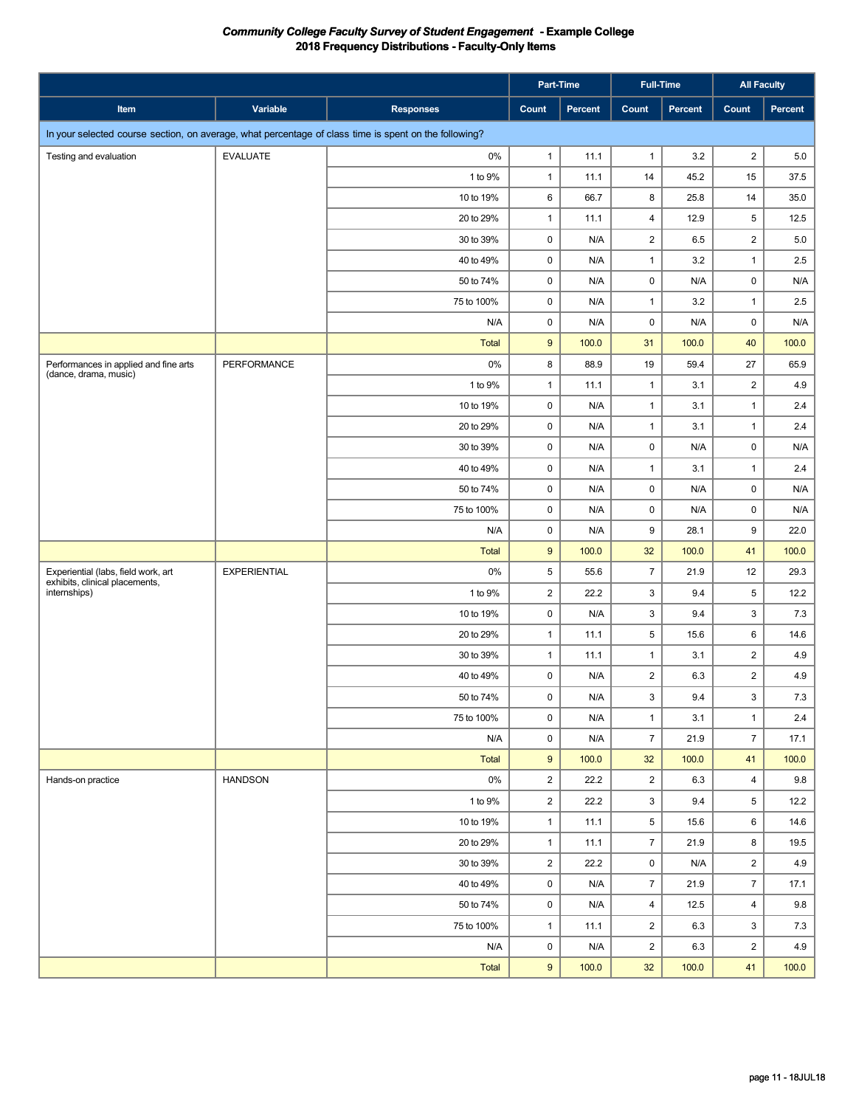|                                                                                                       |                     |                  |                         | Part-Time |                         | <b>Full-Time</b> |                         | <b>All Faculty</b> |
|-------------------------------------------------------------------------------------------------------|---------------------|------------------|-------------------------|-----------|-------------------------|------------------|-------------------------|--------------------|
| Item                                                                                                  | Variable            | <b>Responses</b> | Count                   | Percent   | Count                   | Percent          | <b>Count</b>            | Percent            |
| In your selected course section, on average, what percentage of class time is spent on the following? |                     |                  |                         |           |                         |                  |                         |                    |
| Testing and evaluation                                                                                | <b>EVALUATE</b>     | $0\%$            | $\mathbf{1}$            | 11.1      | $\mathbf{1}$            | 3.2              | $\overline{2}$          | 5.0                |
|                                                                                                       |                     | 1 to 9%          | $\mathbf{1}$            | 11.1      | 14                      | 45.2             | 15                      | 37.5               |
|                                                                                                       |                     | 10 to 19%        | 6                       | 66.7      | 8                       | 25.8             | 14                      | 35.0               |
|                                                                                                       |                     | 20 to 29%        | $\mathbf{1}$            | 11.1      | $\overline{\mathbf{4}}$ | 12.9             | 5                       | 12.5               |
|                                                                                                       |                     | 30 to 39%        | $\mathsf 0$             | N/A       | $\overline{2}$          | 6.5              | $\overline{c}$          | 5.0                |
|                                                                                                       |                     | 40 to 49%        | $\mathsf 0$             | N/A       | $\mathbf{1}$            | 3.2              | $\mathbf{1}$            | 2.5                |
|                                                                                                       |                     | 50 to 74%        | $\mathsf 0$             | N/A       | $\pmb{0}$               | N/A              | 0                       | N/A                |
|                                                                                                       |                     | 75 to 100%       | $\mathsf 0$             | N/A       | $\mathbf{1}$            | 3.2              | $\mathbf{1}$            | 2.5                |
|                                                                                                       |                     | N/A              | 0                       | N/A       | $\mathbf 0$             | N/A              | $\mathbf 0$             | N/A                |
|                                                                                                       |                     | <b>Total</b>     | $9\,$                   | 100.0     | 31                      | 100.0            | 40                      | 100.0              |
| Performances in applied and fine arts<br>(dance, drama, music)                                        | <b>PERFORMANCE</b>  | 0%               | 8                       | 88.9      | 19                      | 59.4             | 27                      | 65.9               |
|                                                                                                       |                     | 1 to 9%          | $\mathbf{1}$            | 11.1      | $\mathbf{1}$            | 3.1              | $\overline{2}$          | 4.9                |
|                                                                                                       |                     | 10 to 19%        | 0                       | N/A       | $\mathbf{1}$            | 3.1              | $\mathbf{1}$            | 2.4                |
|                                                                                                       |                     | 20 to 29%        | $\mathsf 0$             | N/A       | $\mathbf{1}$            | 3.1              | $\mathbf{1}$            | 2.4                |
|                                                                                                       |                     | 30 to 39%        | 0                       | N/A       | $\pmb{0}$               | N/A              | 0                       | N/A                |
|                                                                                                       |                     | 40 to 49%        | $\mathsf 0$             | N/A       | $\mathbf{1}$            | 3.1              | $\mathbf{1}$            | 2.4                |
|                                                                                                       |                     | 50 to 74%        | 0                       | N/A       | $\pmb{0}$               | N/A              | 0                       | N/A                |
|                                                                                                       |                     | 75 to 100%       | $\pmb{0}$               | N/A       | $\mathsf 0$             | N/A              | $\mathbf 0$             | N/A                |
|                                                                                                       |                     | N/A              | 0                       | N/A       | 9                       | 28.1             | 9                       | 22.0               |
|                                                                                                       |                     | <b>Total</b>     | $9\,$                   | 100.0     | 32                      | 100.0            | 41                      | 100.0              |
| Experiential (labs, field work, art<br>exhibits, clinical placements,                                 | <b>EXPERIENTIAL</b> | $0\%$            | 5                       | 55.6      | $\overline{7}$          | 21.9             | 12                      | 29.3               |
| internships)                                                                                          |                     | 1 to 9%          | $\overline{\mathbf{c}}$ | 22.2      | 3                       | 9.4              | 5                       | 12.2               |
|                                                                                                       |                     | 10 to 19%        | 0                       | N/A       | 3                       | 9.4              | 3                       | 7.3                |
|                                                                                                       |                     | 20 to 29%        | $\mathbf{1}$            | 11.1      | 5                       | 15.6             | 6                       | 14.6               |
|                                                                                                       |                     | 30 to 39%        | $\mathbf{1}$            | 11.1      | $\mathbf{1}$            | 3.1              | $\overline{\mathbf{c}}$ | 4.9                |
|                                                                                                       |                     | 40 to 49%        | 0                       | N/A       | $\overline{\mathbf{c}}$ | 6.3              | $\overline{\mathbf{c}}$ | 4.9                |
|                                                                                                       |                     | 50 to 74%        | $\mathbf 0$             | N/A       | $\mathbf{3}$            | 9.4              | 3                       | 7.3                |
|                                                                                                       |                     | 75 to 100%       | 0                       | N/A       | $\mathbf{1}$            | 3.1              | $\mathbf{1}$            | 2.4                |
|                                                                                                       |                     | N/A              | 0                       | N/A       | $\overline{7}$          | 21.9             | $\overline{7}$          | 17.1               |
|                                                                                                       |                     | Total            | $9\,$                   | 100.0     | 32                      | 100.0            | 41                      | 100.0              |
| Hands-on practice                                                                                     | <b>HANDSON</b>      | $0\%$            | $\overline{2}$          | 22.2      | $\overline{2}$          | 6.3              | $\overline{4}$          | 9.8                |
|                                                                                                       |                     | 1 to 9%          | $\overline{2}$          | 22.2      | 3                       | 9.4              | 5                       | 12.2               |
|                                                                                                       |                     | 10 to 19%        | $\mathbf{1}$            | 11.1      | 5                       | 15.6             | 6                       | 14.6               |
|                                                                                                       |                     | 20 to 29%        | $\mathbf{1}$            | 11.1      | $\overline{7}$          | 21.9             | 8                       | 19.5               |
|                                                                                                       |                     | 30 to 39%        | $\overline{c}$          | 22.2      | 0                       | N/A              | $\overline{c}$          | 4.9                |
|                                                                                                       |                     | 40 to 49%        | 0                       | N/A       | $\overline{7}$          | 21.9             | $\overline{7}$          | 17.1               |
|                                                                                                       |                     | 50 to 74%        | 0                       | N/A       | $\overline{4}$          | 12.5             | $\overline{4}$          | 9.8                |
|                                                                                                       |                     | 75 to 100%       | $\mathbf{1}$            | 11.1      | $\overline{2}$          | 6.3              | 3                       | 7.3                |
|                                                                                                       |                     | N/A              | 0                       | N/A       | $\overline{2}$          | 6.3              | $\overline{2}$          | 4.9                |
|                                                                                                       |                     | Total            | 9                       | 100.0     | 32                      | 100.0            | 41                      | 100.0              |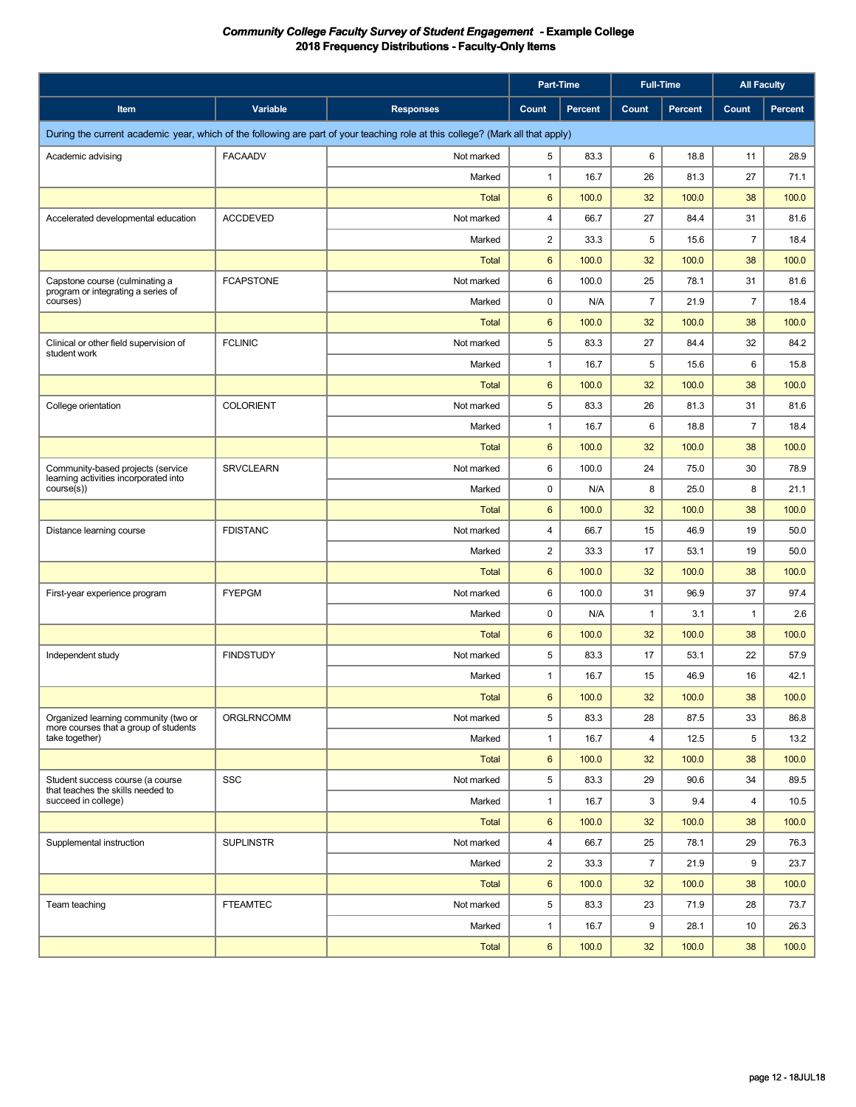|                                                                               |                   |                                                                                                                                | Part-Time               |                | <b>Full-Time</b> |                | <b>All Faculty</b> |         |
|-------------------------------------------------------------------------------|-------------------|--------------------------------------------------------------------------------------------------------------------------------|-------------------------|----------------|------------------|----------------|--------------------|---------|
| Item                                                                          | Variable          | <b>Responses</b>                                                                                                               | Count                   | <b>Percent</b> | Count            | <b>Percent</b> | Count              | Percent |
|                                                                               |                   | During the current academic year, which of the following are part of your teaching role at this college? (Mark all that apply) |                         |                |                  |                |                    |         |
| Academic advising                                                             | <b>FACAADV</b>    | Not marked                                                                                                                     | 5                       | 83.3           | 6                | 18.8           | 11                 | 28.9    |
|                                                                               |                   | Marked                                                                                                                         | $\mathbf{1}$            | 16.7           | 26               | 81.3           | 27                 | 71.1    |
|                                                                               |                   | <b>Total</b>                                                                                                                   | $6\phantom{1}$          | 100.0          | 32               | 100.0          | 38                 | 100.0   |
| Accelerated developmental education                                           | <b>ACCDEVED</b>   | Not marked                                                                                                                     | 4                       | 66.7           | 27               | 84.4           | 31                 | 81.6    |
|                                                                               |                   | Marked                                                                                                                         | $\overline{\mathbf{c}}$ | 33.3           | 5                | 15.6           | $\overline{7}$     | 18.4    |
|                                                                               |                   | <b>Total</b>                                                                                                                   | $6\phantom{1}$          | 100.0          | 32               | 100.0          | 38                 | 100.0   |
| Capstone course (culminating a                                                | <b>FCAPSTONE</b>  | Not marked                                                                                                                     | 6                       | 100.0          | 25               | 78.1           | 31                 | 81.6    |
| program or integrating a series of<br>courses)                                |                   | Marked                                                                                                                         | 0                       | N/A            | $\overline{7}$   | 21.9           | $\overline{7}$     | 18.4    |
|                                                                               |                   | <b>Total</b>                                                                                                                   | $6\phantom{1}$          | 100.0          | 32               | 100.0          | 38                 | 100.0   |
| Clinical or other field supervision of<br>student work                        | <b>FCLINIC</b>    | Not marked                                                                                                                     | 5                       | 83.3           | 27               | 84.4           | 32                 | 84.2    |
|                                                                               |                   | Marked                                                                                                                         | 1                       | 16.7           | 5                | 15.6           | 6                  | 15.8    |
|                                                                               |                   | <b>Total</b>                                                                                                                   | $6\phantom{1}$          | 100.0          | 32               | 100.0          | 38                 | 100.0   |
| College orientation                                                           | <b>COLORIENT</b>  | Not marked                                                                                                                     | 5                       | 83.3           | 26               | 81.3           | 31                 | 81.6    |
|                                                                               |                   | Marked                                                                                                                         | 1                       | 16.7           | 6                | 18.8           | $\overline{7}$     | 18.4    |
|                                                                               |                   | <b>Total</b>                                                                                                                   | $6\phantom{1}$          | 100.0          | 32               | 100.0          | 38                 | 100.0   |
| Community-based projects (service<br>learning activities incorporated into    | <b>SRVCLEARN</b>  | Not marked                                                                                                                     | 6                       | 100.0          | 24               | 75.0           | 30                 | 78.9    |
| course(s)                                                                     |                   | Marked                                                                                                                         | 0                       | N/A            | 8                | 25.0           | 8                  | 21.1    |
|                                                                               |                   | <b>Total</b>                                                                                                                   | $6\phantom{1}$          | 100.0          | 32               | 100.0          | 38                 | 100.0   |
| Distance learning course                                                      | <b>FDISTANC</b>   | Not marked                                                                                                                     | 4                       | 66.7           | 15               | 46.9           | 19                 | 50.0    |
|                                                                               |                   | Marked                                                                                                                         | $\overline{c}$          | 33.3           | 17               | 53.1           | 19                 | 50.0    |
|                                                                               |                   | <b>Total</b>                                                                                                                   | $6\phantom{1}$          | 100.0          | 32               | 100.0          | 38                 | 100.0   |
| First-year experience program                                                 | <b>FYEPGM</b>     | Not marked                                                                                                                     | 6                       | 100.0          | 31               | 96.9           | 37                 | 97.4    |
|                                                                               |                   | Marked                                                                                                                         | 0                       | N/A            | $\mathbf{1}$     | 3.1            | $\mathbf{1}$       | 2.6     |
|                                                                               |                   | <b>Total</b>                                                                                                                   | $6\phantom{1}$          | 100.0          | 32               | 100.0          | 38                 | 100.0   |
| Independent study                                                             | <b>FINDSTUDY</b>  | Not marked                                                                                                                     | 5                       | 83.3           | 17               | 53.1           | 22                 | 57.9    |
|                                                                               |                   | Marked                                                                                                                         | $\mathbf{1}$            | 16.7           | 15               | 46.9           | 16                 | 42.1    |
|                                                                               |                   | <b>Total</b>                                                                                                                   | 6                       | 100.0          | 32               | 100.0          | 38                 | 100.0   |
| Organized learning community (two or<br>more courses that a group of students | <b>ORGLRNCOMM</b> | Not marked                                                                                                                     | 5                       | 83.3           | 28               | 87.5           | 33                 | 86.8    |
| take together)                                                                |                   | Marked                                                                                                                         | $\mathbf{1}$            | 16.7           | 4                | 12.5           | 5                  | 13.2    |
|                                                                               |                   | Total                                                                                                                          | 6                       | 100.0          | 32               | 100.0          | 38                 | 100.0   |
| Student success course (a course<br>that teaches the skills needed to         | SSC               | Not marked                                                                                                                     | 5                       | 83.3           | 29               | 90.6           | 34                 | 89.5    |
| succeed in college)                                                           |                   | Marked                                                                                                                         | $\mathbf{1}$            | 16.7           | 3                | 9.4            | 4                  | 10.5    |
|                                                                               |                   | Total                                                                                                                          | 6                       | 100.0          | 32               | 100.0          | 38                 | 100.0   |
| Supplemental instruction                                                      | <b>SUPLINSTR</b>  | Not marked                                                                                                                     | 4                       | 66.7           | 25               | 78.1           | 29                 | 76.3    |
|                                                                               |                   | Marked                                                                                                                         | $\overline{2}$          | 33.3           | $\overline{7}$   | 21.9           | 9                  | 23.7    |
|                                                                               |                   | <b>Total</b>                                                                                                                   | 6                       | 100.0          | 32               | 100.0          | 38                 | 100.0   |
| Team teaching                                                                 | <b>FTEAMTEC</b>   | Not marked                                                                                                                     | 5                       | 83.3           | 23               | 71.9           | 28                 | 73.7    |
|                                                                               |                   | Marked                                                                                                                         | $\mathbf{1}$            | 16.7           | 9                | 28.1           | 10                 | 26.3    |
|                                                                               |                   | Total                                                                                                                          | $6\phantom{.}$          | 100.0          | 32               | 100.0          | 38                 | 100.0   |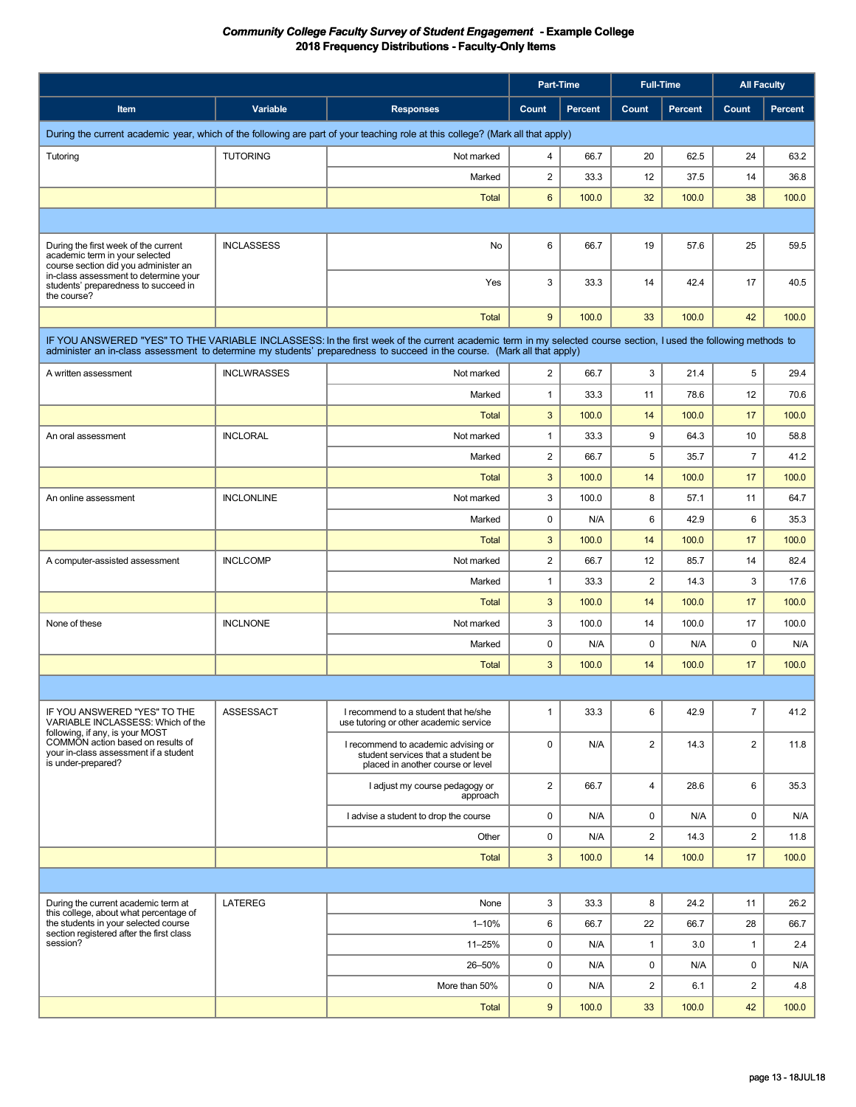|                                                                                                                |                    |                                                                                                                                                                                                                                                                                             | Part-Time               |                | <b>Full-Time</b>        |         |                | <b>All Faculty</b> |
|----------------------------------------------------------------------------------------------------------------|--------------------|---------------------------------------------------------------------------------------------------------------------------------------------------------------------------------------------------------------------------------------------------------------------------------------------|-------------------------|----------------|-------------------------|---------|----------------|--------------------|
| Item                                                                                                           | Variable           | <b>Responses</b>                                                                                                                                                                                                                                                                            | Count                   | <b>Percent</b> | Count                   | Percent | Count          | <b>Percent</b>     |
|                                                                                                                |                    | During the current academic year, which of the following are part of your teaching role at this college? (Mark all that apply)                                                                                                                                                              |                         |                |                         |         |                |                    |
| Tutoring                                                                                                       | <b>TUTORING</b>    | Not marked                                                                                                                                                                                                                                                                                  | 4                       | 66.7           | 20                      | 62.5    | 24             | 63.2               |
|                                                                                                                |                    | Marked                                                                                                                                                                                                                                                                                      | $\overline{2}$          | 33.3           | 12                      | 37.5    | 14             | 36.8               |
|                                                                                                                |                    | <b>Total</b>                                                                                                                                                                                                                                                                                | 6                       | 100.0          | 32                      | 100.0   | 38             | 100.0              |
|                                                                                                                |                    |                                                                                                                                                                                                                                                                                             |                         |                |                         |         |                |                    |
| During the first week of the current<br>academic term in your selected<br>course section did you administer an | <b>INCLASSESS</b>  | No                                                                                                                                                                                                                                                                                          | 6                       | 66.7           | 19                      | 57.6    | 25             | 59.5               |
| in-class assessment to determine your<br>students' preparedness to succeed in<br>the course?                   |                    | Yes                                                                                                                                                                                                                                                                                         | 3                       | 33.3           | 14                      | 42.4    | 17             | 40.5               |
|                                                                                                                |                    | <b>Total</b>                                                                                                                                                                                                                                                                                | 9                       | 100.0          | 33                      | 100.0   | 42             | 100.0              |
|                                                                                                                |                    | IF YOU ANSWERED "YES" TO THE VARIABLE INCLASSESS: In the first week of the current academic term in my selected course section, I used the following methods to<br>administer an in-class assessment to determine my students' preparedness to succeed in the course. (Mark all that apply) |                         |                |                         |         |                |                    |
| A written assessment                                                                                           | <b>INCLWRASSES</b> | Not marked                                                                                                                                                                                                                                                                                  | 2                       | 66.7           | 3                       | 21.4    | 5              | 29.4               |
|                                                                                                                |                    | Marked                                                                                                                                                                                                                                                                                      | $\mathbf{1}$            | 33.3           | 11                      | 78.6    | 12             | 70.6               |
|                                                                                                                |                    | <b>Total</b>                                                                                                                                                                                                                                                                                | 3                       | 100.0          | 14                      | 100.0   | 17             | 100.0              |
| An oral assessment                                                                                             | <b>INCLORAL</b>    | Not marked                                                                                                                                                                                                                                                                                  | $\mathbf{1}$            | 33.3           | 9                       | 64.3    | 10             | 58.8               |
|                                                                                                                |                    | Marked                                                                                                                                                                                                                                                                                      | $\overline{2}$          | 66.7           | 5                       | 35.7    | $\overline{7}$ | 41.2               |
|                                                                                                                |                    | <b>Total</b>                                                                                                                                                                                                                                                                                | 3                       | 100.0          | 14                      | 100.0   | 17             | 100.0              |
| An online assessment                                                                                           | <b>INCLONLINE</b>  | Not marked                                                                                                                                                                                                                                                                                  | 3                       | 100.0          | 8                       | 57.1    | 11             | 64.7               |
|                                                                                                                |                    | Marked                                                                                                                                                                                                                                                                                      | $\mathbf 0$             | N/A            | 6                       | 42.9    | 6              | 35.3               |
|                                                                                                                |                    | <b>Total</b>                                                                                                                                                                                                                                                                                | 3                       | 100.0          | 14                      | 100.0   | 17             | 100.0              |
| A computer-assisted assessment                                                                                 | <b>INCLCOMP</b>    | Not marked                                                                                                                                                                                                                                                                                  | $\overline{\mathbf{c}}$ | 66.7           | 12                      | 85.7    | 14             | 82.4               |
|                                                                                                                |                    | Marked                                                                                                                                                                                                                                                                                      | $\mathbf{1}$            | 33.3           | $\overline{2}$          | 14.3    | 3              | 17.6               |
|                                                                                                                |                    | <b>Total</b>                                                                                                                                                                                                                                                                                | 3                       | 100.0          | 14                      | 100.0   | 17             | 100.0              |
| None of these                                                                                                  | <b>INCLNONE</b>    | Not marked                                                                                                                                                                                                                                                                                  | 3                       | 100.0          | 14                      | 100.0   | 17             | 100.0              |
|                                                                                                                |                    | Marked                                                                                                                                                                                                                                                                                      | $\mathbf 0$             | N/A            | $\mathbf 0$             | N/A     | $\mathbf 0$    | N/A                |
|                                                                                                                |                    | <b>Total</b>                                                                                                                                                                                                                                                                                | 3                       | 100.0          | 14                      | 100.0   | 17             | 100.0              |
|                                                                                                                |                    |                                                                                                                                                                                                                                                                                             |                         |                |                         |         |                |                    |
| IF YOU ANSWERED "YES" TO THE<br>VARIABLE INCLASSESS: Which of the<br>following, if any, is your MOST           | ASSESSACT          | I recommend to a student that he/she<br>use tutoring or other academic service                                                                                                                                                                                                              | $\mathbf{1}$            | 33.3           | 6                       | 42.9    | $\overline{7}$ | 41.2               |
| COMMON action based on results of<br>your in-class assessment if a student<br>is under-prepared?               |                    | I recommend to academic advising or<br>student services that a student be<br>placed in another course or level                                                                                                                                                                              | $\mathbf 0$             | N/A            | $\overline{2}$          | 14.3    | $\overline{2}$ | 11.8               |
|                                                                                                                |                    | I adjust my course pedagogy or<br>approach                                                                                                                                                                                                                                                  | $\overline{2}$          | 66.7           | 4                       | 28.6    | 6              | 35.3               |
|                                                                                                                |                    | I advise a student to drop the course                                                                                                                                                                                                                                                       | 0                       | N/A            | $\mathbf 0$             | N/A     | $\mathbf 0$    | N/A                |
|                                                                                                                |                    | Other                                                                                                                                                                                                                                                                                       | 0                       | N/A            | $\overline{\mathbf{c}}$ | 14.3    | $\overline{2}$ | 11.8               |
|                                                                                                                |                    | <b>Total</b>                                                                                                                                                                                                                                                                                | 3                       | 100.0          | 14                      | 100.0   | 17             | 100.0              |
|                                                                                                                |                    |                                                                                                                                                                                                                                                                                             |                         |                |                         |         |                |                    |
| During the current academic term at<br>this college, about what percentage of                                  | <b>LATEREG</b>     | None                                                                                                                                                                                                                                                                                        | 3                       | 33.3           | 8                       | 24.2    | 11             | 26.2               |
| the students in your selected course<br>section registered after the first class                               |                    | $1 - 10%$                                                                                                                                                                                                                                                                                   | 6                       | 66.7           | 22                      | 66.7    | 28             | 66.7               |
| session?                                                                                                       |                    | 11-25%                                                                                                                                                                                                                                                                                      | 0                       | N/A            | $\mathbf{1}$            | 3.0     | $\mathbf{1}$   | 2.4                |
|                                                                                                                |                    | 26-50%                                                                                                                                                                                                                                                                                      | 0                       | N/A            | 0                       | N/A     | $\mathbf 0$    | N/A                |
|                                                                                                                |                    | More than 50%                                                                                                                                                                                                                                                                               | 0                       | N/A            | $\overline{\mathbf{c}}$ | 6.1     | $\overline{2}$ | 4.8                |
|                                                                                                                |                    | <b>Total</b>                                                                                                                                                                                                                                                                                | 9                       | 100.0          | 33                      | 100.0   | 42             | 100.0              |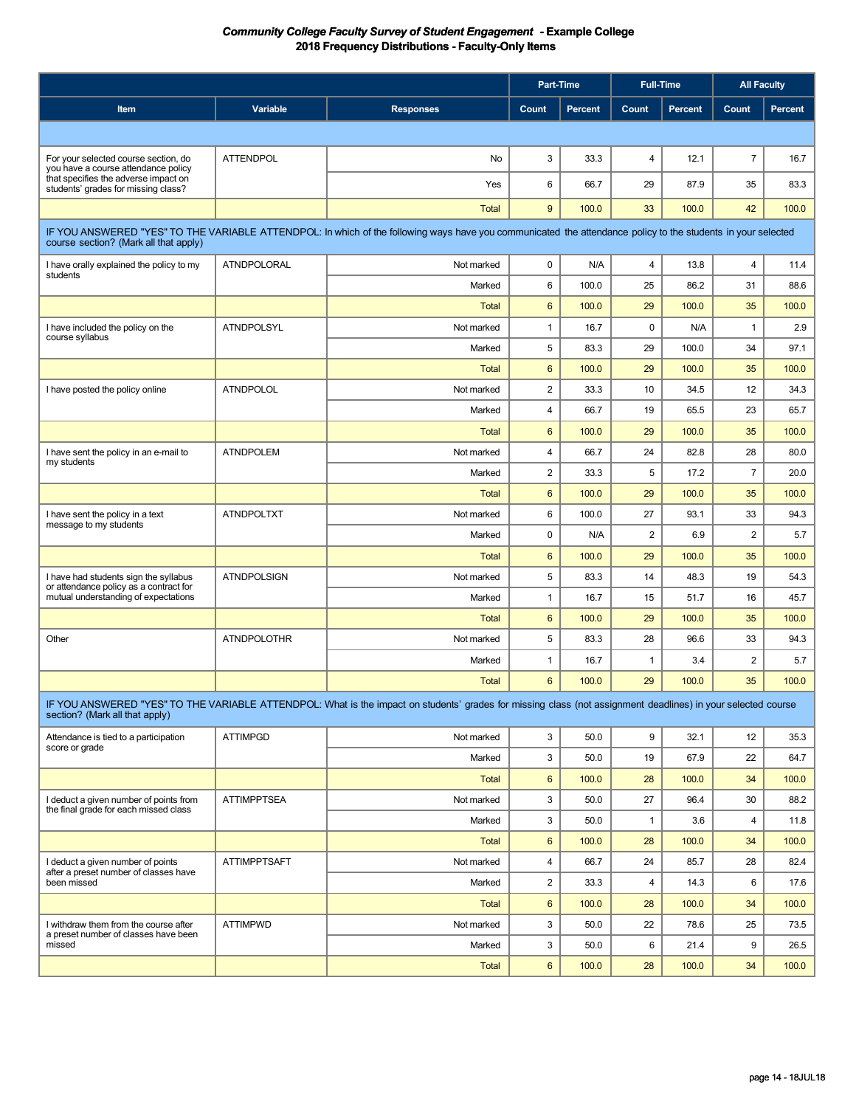|                                                                                                                                                            |                     |                                                                                                                                                              | Part-Time |                | <b>Full-Time</b> |         | <b>All Faculty</b>      |                |
|------------------------------------------------------------------------------------------------------------------------------------------------------------|---------------------|--------------------------------------------------------------------------------------------------------------------------------------------------------------|-----------|----------------|------------------|---------|-------------------------|----------------|
| Item                                                                                                                                                       | Variable            | <b>Responses</b>                                                                                                                                             | Count     | <b>Percent</b> | Count            | Percent | Count                   | <b>Percent</b> |
|                                                                                                                                                            |                     |                                                                                                                                                              |           |                |                  |         |                         |                |
| For your selected course section, do<br>you have a course attendance policy<br>that specifies the adverse impact on<br>students' grades for missing class? | <b>ATTENDPOL</b>    | No                                                                                                                                                           | 3         | 33.3           | $\overline{4}$   | 12.1    | $\overline{7}$          | 16.7           |
|                                                                                                                                                            |                     | Yes                                                                                                                                                          | 6         | 66.7           | 29               | 87.9    | 35                      | 83.3           |
|                                                                                                                                                            |                     | <b>Total</b>                                                                                                                                                 | 9         | 100.0          | 33               | 100.0   | 42                      | 100.0          |
|                                                                                                                                                            |                     | IF YOU ANSWERED "YES" TO THE VARIABLE ATTENDPOL: In which of the following ways have you communicated the attendance policy to the students in your selected |           |                |                  |         |                         |                |
| course section? (Mark all that apply)                                                                                                                      |                     |                                                                                                                                                              |           |                |                  |         |                         |                |
| I have orally explained the policy to my<br>students                                                                                                       | ATNDPOLORAL         | Not marked                                                                                                                                                   | 0         | N/A            | 4                | 13.8    | $\overline{\mathbf{4}}$ | 11.4           |
|                                                                                                                                                            |                     | Marked                                                                                                                                                       | 6         | 100.0          | 25               | 86.2    | 31                      | 88.6           |
|                                                                                                                                                            |                     | <b>Total</b>                                                                                                                                                 | 6         | 100.0          | 29               | 100.0   | 35                      | 100.0          |
| I have included the policy on the<br>course syllabus                                                                                                       | <b>ATNDPOLSYL</b>   | Not marked                                                                                                                                                   | 1         | 16.7           | $\pmb{0}$        | N/A     | $\mathbf{1}$            | 2.9            |
|                                                                                                                                                            |                     | Marked                                                                                                                                                       | 5         | 83.3           | 29               | 100.0   | 34                      | 97.1           |
|                                                                                                                                                            |                     | <b>Total</b>                                                                                                                                                 | 6         | 100.0          | 29               | 100.0   | 35                      | 100.0          |
| I have posted the policy online                                                                                                                            | <b>ATNDPOLOL</b>    | Not marked                                                                                                                                                   | 2         | 33.3           | 10               | 34.5    | 12                      | 34.3           |
|                                                                                                                                                            |                     | Marked                                                                                                                                                       | 4         | 66.7           | 19               | 65.5    | 23                      | 65.7           |
|                                                                                                                                                            |                     | <b>Total</b>                                                                                                                                                 | 6         | 100.0          | 29               | 100.0   | 35                      | 100.0          |
| I have sent the policy in an e-mail to                                                                                                                     | <b>ATNDPOLEM</b>    | Not marked                                                                                                                                                   | 4         | 66.7           | 24               | 82.8    | 28                      | 80.0           |
| my students                                                                                                                                                |                     | Marked                                                                                                                                                       | 2         | 33.3           | 5                | 17.2    | $\overline{7}$          | 20.0           |
|                                                                                                                                                            |                     | <b>Total</b>                                                                                                                                                 | 6         | 100.0          | 29               | 100.0   | 35                      | 100.0          |
| I have sent the policy in a text                                                                                                                           | <b>ATNDPOLTXT</b>   | Not marked                                                                                                                                                   | 6         | 100.0          | 27               | 93.1    | 33                      | 94.3           |
| message to my students                                                                                                                                     |                     | Marked                                                                                                                                                       | 0         | N/A            | $\overline{2}$   | 6.9     | 2                       | 5.7            |
|                                                                                                                                                            |                     | <b>Total</b>                                                                                                                                                 | 6         | 100.0          | 29               | 100.0   | 35                      | 100.0          |
| I have had students sign the syllabus                                                                                                                      | <b>ATNDPOLSIGN</b>  | Not marked                                                                                                                                                   | 5         | 83.3           | 14               | 48.3    | 19                      | 54.3           |
| or attendance policy as a contract for<br>mutual understanding of expectations                                                                             |                     | Marked                                                                                                                                                       | 1         | 16.7           | 15               | 51.7    | 16                      | 45.7           |
|                                                                                                                                                            |                     | <b>Total</b>                                                                                                                                                 | 6         | 100.0          | 29               | 100.0   | 35                      | 100.0          |
| Other                                                                                                                                                      | <b>ATNDPOLOTHR</b>  | Not marked                                                                                                                                                   | 5         | 83.3           | 28               | 96.6    | 33                      | 94.3           |
|                                                                                                                                                            |                     | Marked                                                                                                                                                       | 1         | 16.7           | $\mathbf{1}$     | 3.4     | $\overline{\mathbf{c}}$ | 5.7            |
|                                                                                                                                                            |                     | Total                                                                                                                                                        | 6         | 100.0          | 29               | 100.0   | 35                      | 100.0          |
|                                                                                                                                                            |                     | IF YOU ANSWERED "YES" TO THE VARIABLE ATTENDPOL: What is the impact on students' grades for missing class (not assignment deadlines) in your selected course |           |                |                  |         |                         |                |
| section? (Mark all that apply)                                                                                                                             |                     |                                                                                                                                                              |           |                |                  |         |                         |                |
| Attendance is tied to a participation<br>score or grade                                                                                                    | <b>ATTIMPGD</b>     | Not marked                                                                                                                                                   | 3         | 50.0           | 9                | 32.1    | 12                      | 35.3           |
|                                                                                                                                                            |                     | Marked                                                                                                                                                       | 3         | 50.0           | 19               | 67.9    | 22                      | 64.7           |
|                                                                                                                                                            |                     | <b>Total</b>                                                                                                                                                 | 6         | 100.0          | 28               | 100.0   | 34                      | 100.0          |
| I deduct a given number of points from<br>the final grade for each missed class                                                                            | <b>ATTIMPPTSEA</b>  | Not marked                                                                                                                                                   | 3         | 50.0           | 27               | 96.4    | 30                      | 88.2           |
|                                                                                                                                                            |                     | Marked                                                                                                                                                       | 3         | 50.0           | $\mathbf{1}$     | 3.6     | $\overline{\mathbf{4}}$ | 11.8           |
|                                                                                                                                                            |                     | <b>Total</b>                                                                                                                                                 | 6         | 100.0          | 28               | 100.0   | 34                      | 100.0          |
| I deduct a given number of points<br>after a preset number of classes have<br>been missed                                                                  | <b>ATTIMPPTSAFT</b> | Not marked                                                                                                                                                   | 4         | 66.7           | 24               | 85.7    | 28                      | 82.4           |
|                                                                                                                                                            |                     | Marked                                                                                                                                                       | 2         | 33.3           | $\overline{4}$   | 14.3    | 6                       | 17.6           |
|                                                                                                                                                            |                     | Total                                                                                                                                                        | 6         | 100.0          | 28               | 100.0   | 34                      | 100.0          |
| I withdraw them from the course after                                                                                                                      | <b>ATTIMPWD</b>     | Not marked                                                                                                                                                   | 3         | 50.0           | 22               | 78.6    | 25                      | 73.5           |
| a preset number of classes have been<br>missed                                                                                                             |                     | Marked                                                                                                                                                       | 3         | 50.0           | 6                | 21.4    | 9                       | 26.5           |
|                                                                                                                                                            |                     | Total                                                                                                                                                        | 6         | 100.0          | 28               | 100.0   | 34                      | 100.0          |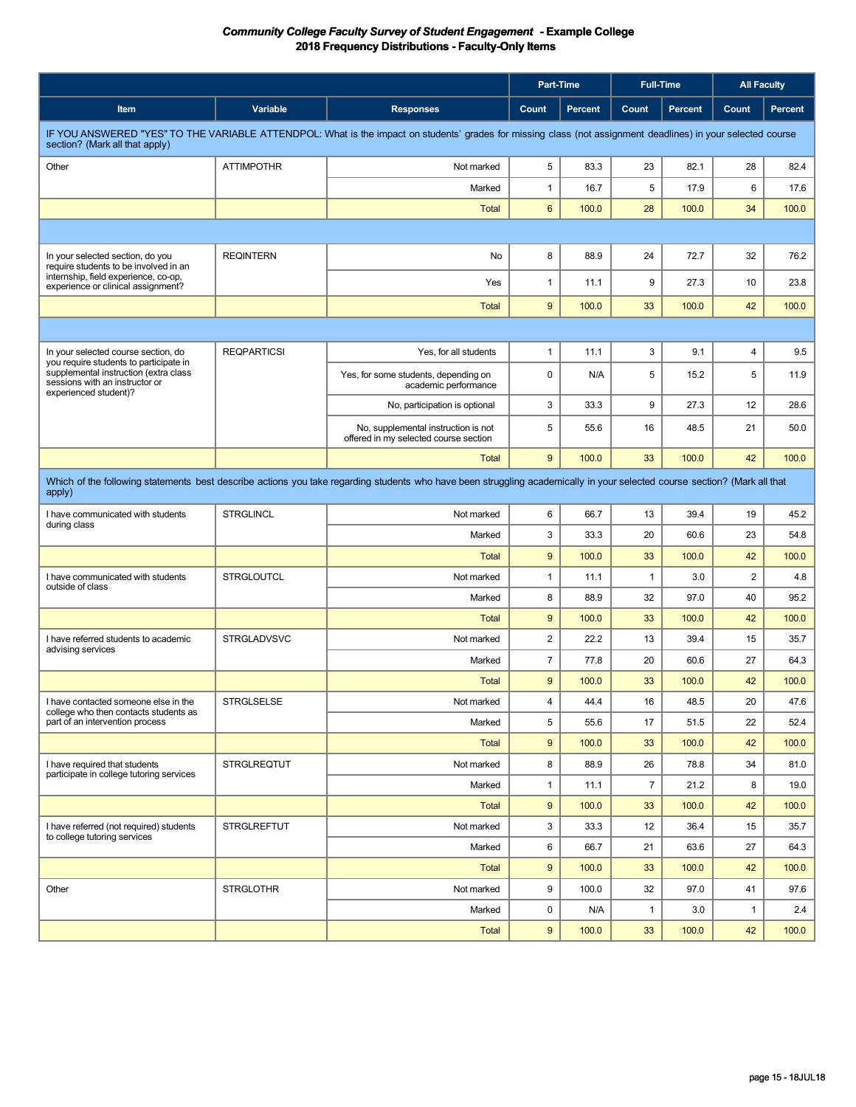| <b>Variable</b><br>Count<br><b>Percent</b><br>Count<br><b>Percent</b><br>Count<br>Percent<br>Item<br><b>Responses</b><br>IF YOU ANSWERED "YES" TO THE VARIABLE ATTENDPOL: What is the impact on students' grades for missing class (not assignment deadlines) in your selected course<br>section? (Mark all that apply)<br><b>ATTIMPOTHR</b><br>5<br>82.1<br>28<br>Other<br>Not marked<br>83.3<br>23<br>82.4<br>$\mathbf{1}$<br>5<br>6<br>Marked<br>16.7<br>17.9<br>17.6<br>6<br>34<br><b>Total</b><br>100.0<br>28<br>100.0<br>100.0<br><b>REQINTERN</b><br>8<br>32<br>76.2<br>88.9<br>24<br>72.7<br>In your selected section, do you<br>No<br>require students to be involved in an<br>internship, field experience, co-op,<br>9<br>Yes<br>1<br>11.1<br>27.3<br>10<br>23.8<br>experience or clinical assignment?<br>9<br>100.0<br>33<br>100.0<br>42<br>100.0<br><b>Total</b><br><b>REQPARTICSI</b><br>$\mathbf{1}$<br>3<br>9.1<br>Yes, for all students<br>11.1<br>$\overline{4}$<br>9.5<br>In your selected course section, do<br>vou require students to participate in<br>supplemental instruction (extra class<br>$\mathbf 0$<br>5<br>Yes, for some students, depending on<br>N/A<br>5<br>15.2<br>11.9<br>sessions with an instructor or<br>academic performance<br>experienced student)?<br>3<br>9<br>12<br>33.3<br>27.3<br>28.6<br>No, participation is optional<br>5<br>50.0<br>No, supplemental instruction is not<br>55.6<br>16<br>48.5<br>21<br>offered in my selected course section<br>9<br>100.0<br>33<br>42<br><b>Total</b><br>100.0<br>100.0<br>Which of the following statements best describe actions you take regarding students who have been struggling academically in your selected course section? (Mark all that<br>apply)<br><b>STRGLINCL</b><br>6<br>19<br>I have communicated with students<br>Not marked<br>66.7<br>13<br>39.4<br>45.2<br>during class<br>3<br>33.3<br>20<br>60.6<br>23<br>54.8<br>Marked<br><b>Total</b><br>9<br>100.0<br>33<br>100.0<br>42<br>100.0<br><b>STRGLOUTCL</b><br>$\overline{2}$<br>I have communicated with students<br>Not marked<br>$\mathbf{1}$<br>11.1<br>$\mathbf{1}$<br>3.0<br>4.8<br>outside of class<br>8<br>88.9<br>32<br>97.0<br>40<br>95.2<br>Marked<br>9<br>42<br><b>Total</b><br>100.0<br>33<br>100.0<br>100.0<br><b>STRGLADVSVC</b><br>$\overline{2}$<br>22.2<br>39.4<br>15<br>I have referred students to academic<br>Not marked<br>13<br>35.7<br>advising services<br>Marked<br>$\overline{7}$<br>77.8<br>20<br>60.6<br>27<br>64.3<br>9<br>42<br>100.0<br>33<br>100.0<br>100.0<br>Total<br>I have contacted someone else in the<br><b>STRGLSELSE</b><br>4<br>44.4<br>48.5<br>20<br>47.6<br>Not marked<br>16<br>college who then contacts students as<br>5<br>part of an intervention process<br>17<br>22<br>52.4<br>Marked<br>55.6<br>51.5<br>9<br>33<br>42<br><b>Total</b><br>100.0<br>100.0<br>100.0<br><b>STRGLREQTUT</b><br>8<br>26<br>34<br>I have required that students<br>Not marked<br>88.9<br>78.8<br>81.0<br>participate in college tutoring services<br>$\overline{7}$<br>8<br>Marked<br>$\mathbf{1}$<br>11.1<br>21.2<br>19.0<br>9<br>33<br>42<br>100.0<br>100.0<br>100.0<br>Total<br><b>STRGLREFTUT</b><br>3<br>15<br>35.7<br>I have referred (not required) students<br>Not marked<br>33.3<br>12<br>36.4<br>to college tutoring services<br>6<br>21<br>27<br>Marked<br>66.7<br>63.6<br>64.3<br>9<br>100.0<br>33<br>42<br>100.0<br><b>Total</b><br>100.0<br><b>STRGLOTHR</b><br>9<br>32<br>41<br>Other<br>Not marked<br>100.0<br>97.0<br>97.6<br>0<br>Marked<br>N/A<br>$\mathbf{1}$<br>3.0<br>$\mathbf{1}$<br>2.4 |  |  |  | Part-Time |  | <b>Full-Time</b> |  | <b>All Faculty</b> |  |
|----------------------------------------------------------------------------------------------------------------------------------------------------------------------------------------------------------------------------------------------------------------------------------------------------------------------------------------------------------------------------------------------------------------------------------------------------------------------------------------------------------------------------------------------------------------------------------------------------------------------------------------------------------------------------------------------------------------------------------------------------------------------------------------------------------------------------------------------------------------------------------------------------------------------------------------------------------------------------------------------------------------------------------------------------------------------------------------------------------------------------------------------------------------------------------------------------------------------------------------------------------------------------------------------------------------------------------------------------------------------------------------------------------------------------------------------------------------------------------------------------------------------------------------------------------------------------------------------------------------------------------------------------------------------------------------------------------------------------------------------------------------------------------------------------------------------------------------------------------------------------------------------------------------------------------------------------------------------------------------------------------------------------------------------------------------------------------------------------------------------------------------------------------------------------------------------------------------------------------------------------------------------------------------------------------------------------------------------------------------------------------------------------------------------------------------------------------------------------------------------------------------------------------------------------------------------------------------------------------------------------------------------------------------------------------------------------------------------------------------------------------------------------------------------------------------------------------------------------------------------------------------------------------------------------------------------------------------------------------------------------------------------------------------------------------------------------------------------------------------------------------------------------------------------------------------------------------------------------------------------------------------------------------------------------------------------------------------------------------------------------------------------------------------------------------------------------------------------------------------------------------------------------------------------------------------------------------------------------------|--|--|--|-----------|--|------------------|--|--------------------|--|
|                                                                                                                                                                                                                                                                                                                                                                                                                                                                                                                                                                                                                                                                                                                                                                                                                                                                                                                                                                                                                                                                                                                                                                                                                                                                                                                                                                                                                                                                                                                                                                                                                                                                                                                                                                                                                                                                                                                                                                                                                                                                                                                                                                                                                                                                                                                                                                                                                                                                                                                                                                                                                                                                                                                                                                                                                                                                                                                                                                                                                                                                                                                                                                                                                                                                                                                                                                                                                                                                                                                                                                                                          |  |  |  |           |  |                  |  |                    |  |
|                                                                                                                                                                                                                                                                                                                                                                                                                                                                                                                                                                                                                                                                                                                                                                                                                                                                                                                                                                                                                                                                                                                                                                                                                                                                                                                                                                                                                                                                                                                                                                                                                                                                                                                                                                                                                                                                                                                                                                                                                                                                                                                                                                                                                                                                                                                                                                                                                                                                                                                                                                                                                                                                                                                                                                                                                                                                                                                                                                                                                                                                                                                                                                                                                                                                                                                                                                                                                                                                                                                                                                                                          |  |  |  |           |  |                  |  |                    |  |
|                                                                                                                                                                                                                                                                                                                                                                                                                                                                                                                                                                                                                                                                                                                                                                                                                                                                                                                                                                                                                                                                                                                                                                                                                                                                                                                                                                                                                                                                                                                                                                                                                                                                                                                                                                                                                                                                                                                                                                                                                                                                                                                                                                                                                                                                                                                                                                                                                                                                                                                                                                                                                                                                                                                                                                                                                                                                                                                                                                                                                                                                                                                                                                                                                                                                                                                                                                                                                                                                                                                                                                                                          |  |  |  |           |  |                  |  |                    |  |
|                                                                                                                                                                                                                                                                                                                                                                                                                                                                                                                                                                                                                                                                                                                                                                                                                                                                                                                                                                                                                                                                                                                                                                                                                                                                                                                                                                                                                                                                                                                                                                                                                                                                                                                                                                                                                                                                                                                                                                                                                                                                                                                                                                                                                                                                                                                                                                                                                                                                                                                                                                                                                                                                                                                                                                                                                                                                                                                                                                                                                                                                                                                                                                                                                                                                                                                                                                                                                                                                                                                                                                                                          |  |  |  |           |  |                  |  |                    |  |
|                                                                                                                                                                                                                                                                                                                                                                                                                                                                                                                                                                                                                                                                                                                                                                                                                                                                                                                                                                                                                                                                                                                                                                                                                                                                                                                                                                                                                                                                                                                                                                                                                                                                                                                                                                                                                                                                                                                                                                                                                                                                                                                                                                                                                                                                                                                                                                                                                                                                                                                                                                                                                                                                                                                                                                                                                                                                                                                                                                                                                                                                                                                                                                                                                                                                                                                                                                                                                                                                                                                                                                                                          |  |  |  |           |  |                  |  |                    |  |
|                                                                                                                                                                                                                                                                                                                                                                                                                                                                                                                                                                                                                                                                                                                                                                                                                                                                                                                                                                                                                                                                                                                                                                                                                                                                                                                                                                                                                                                                                                                                                                                                                                                                                                                                                                                                                                                                                                                                                                                                                                                                                                                                                                                                                                                                                                                                                                                                                                                                                                                                                                                                                                                                                                                                                                                                                                                                                                                                                                                                                                                                                                                                                                                                                                                                                                                                                                                                                                                                                                                                                                                                          |  |  |  |           |  |                  |  |                    |  |
|                                                                                                                                                                                                                                                                                                                                                                                                                                                                                                                                                                                                                                                                                                                                                                                                                                                                                                                                                                                                                                                                                                                                                                                                                                                                                                                                                                                                                                                                                                                                                                                                                                                                                                                                                                                                                                                                                                                                                                                                                                                                                                                                                                                                                                                                                                                                                                                                                                                                                                                                                                                                                                                                                                                                                                                                                                                                                                                                                                                                                                                                                                                                                                                                                                                                                                                                                                                                                                                                                                                                                                                                          |  |  |  |           |  |                  |  |                    |  |
|                                                                                                                                                                                                                                                                                                                                                                                                                                                                                                                                                                                                                                                                                                                                                                                                                                                                                                                                                                                                                                                                                                                                                                                                                                                                                                                                                                                                                                                                                                                                                                                                                                                                                                                                                                                                                                                                                                                                                                                                                                                                                                                                                                                                                                                                                                                                                                                                                                                                                                                                                                                                                                                                                                                                                                                                                                                                                                                                                                                                                                                                                                                                                                                                                                                                                                                                                                                                                                                                                                                                                                                                          |  |  |  |           |  |                  |  |                    |  |
|                                                                                                                                                                                                                                                                                                                                                                                                                                                                                                                                                                                                                                                                                                                                                                                                                                                                                                                                                                                                                                                                                                                                                                                                                                                                                                                                                                                                                                                                                                                                                                                                                                                                                                                                                                                                                                                                                                                                                                                                                                                                                                                                                                                                                                                                                                                                                                                                                                                                                                                                                                                                                                                                                                                                                                                                                                                                                                                                                                                                                                                                                                                                                                                                                                                                                                                                                                                                                                                                                                                                                                                                          |  |  |  |           |  |                  |  |                    |  |
|                                                                                                                                                                                                                                                                                                                                                                                                                                                                                                                                                                                                                                                                                                                                                                                                                                                                                                                                                                                                                                                                                                                                                                                                                                                                                                                                                                                                                                                                                                                                                                                                                                                                                                                                                                                                                                                                                                                                                                                                                                                                                                                                                                                                                                                                                                                                                                                                                                                                                                                                                                                                                                                                                                                                                                                                                                                                                                                                                                                                                                                                                                                                                                                                                                                                                                                                                                                                                                                                                                                                                                                                          |  |  |  |           |  |                  |  |                    |  |
|                                                                                                                                                                                                                                                                                                                                                                                                                                                                                                                                                                                                                                                                                                                                                                                                                                                                                                                                                                                                                                                                                                                                                                                                                                                                                                                                                                                                                                                                                                                                                                                                                                                                                                                                                                                                                                                                                                                                                                                                                                                                                                                                                                                                                                                                                                                                                                                                                                                                                                                                                                                                                                                                                                                                                                                                                                                                                                                                                                                                                                                                                                                                                                                                                                                                                                                                                                                                                                                                                                                                                                                                          |  |  |  |           |  |                  |  |                    |  |
|                                                                                                                                                                                                                                                                                                                                                                                                                                                                                                                                                                                                                                                                                                                                                                                                                                                                                                                                                                                                                                                                                                                                                                                                                                                                                                                                                                                                                                                                                                                                                                                                                                                                                                                                                                                                                                                                                                                                                                                                                                                                                                                                                                                                                                                                                                                                                                                                                                                                                                                                                                                                                                                                                                                                                                                                                                                                                                                                                                                                                                                                                                                                                                                                                                                                                                                                                                                                                                                                                                                                                                                                          |  |  |  |           |  |                  |  |                    |  |
|                                                                                                                                                                                                                                                                                                                                                                                                                                                                                                                                                                                                                                                                                                                                                                                                                                                                                                                                                                                                                                                                                                                                                                                                                                                                                                                                                                                                                                                                                                                                                                                                                                                                                                                                                                                                                                                                                                                                                                                                                                                                                                                                                                                                                                                                                                                                                                                                                                                                                                                                                                                                                                                                                                                                                                                                                                                                                                                                                                                                                                                                                                                                                                                                                                                                                                                                                                                                                                                                                                                                                                                                          |  |  |  |           |  |                  |  |                    |  |
|                                                                                                                                                                                                                                                                                                                                                                                                                                                                                                                                                                                                                                                                                                                                                                                                                                                                                                                                                                                                                                                                                                                                                                                                                                                                                                                                                                                                                                                                                                                                                                                                                                                                                                                                                                                                                                                                                                                                                                                                                                                                                                                                                                                                                                                                                                                                                                                                                                                                                                                                                                                                                                                                                                                                                                                                                                                                                                                                                                                                                                                                                                                                                                                                                                                                                                                                                                                                                                                                                                                                                                                                          |  |  |  |           |  |                  |  |                    |  |
|                                                                                                                                                                                                                                                                                                                                                                                                                                                                                                                                                                                                                                                                                                                                                                                                                                                                                                                                                                                                                                                                                                                                                                                                                                                                                                                                                                                                                                                                                                                                                                                                                                                                                                                                                                                                                                                                                                                                                                                                                                                                                                                                                                                                                                                                                                                                                                                                                                                                                                                                                                                                                                                                                                                                                                                                                                                                                                                                                                                                                                                                                                                                                                                                                                                                                                                                                                                                                                                                                                                                                                                                          |  |  |  |           |  |                  |  |                    |  |
|                                                                                                                                                                                                                                                                                                                                                                                                                                                                                                                                                                                                                                                                                                                                                                                                                                                                                                                                                                                                                                                                                                                                                                                                                                                                                                                                                                                                                                                                                                                                                                                                                                                                                                                                                                                                                                                                                                                                                                                                                                                                                                                                                                                                                                                                                                                                                                                                                                                                                                                                                                                                                                                                                                                                                                                                                                                                                                                                                                                                                                                                                                                                                                                                                                                                                                                                                                                                                                                                                                                                                                                                          |  |  |  |           |  |                  |  |                    |  |
|                                                                                                                                                                                                                                                                                                                                                                                                                                                                                                                                                                                                                                                                                                                                                                                                                                                                                                                                                                                                                                                                                                                                                                                                                                                                                                                                                                                                                                                                                                                                                                                                                                                                                                                                                                                                                                                                                                                                                                                                                                                                                                                                                                                                                                                                                                                                                                                                                                                                                                                                                                                                                                                                                                                                                                                                                                                                                                                                                                                                                                                                                                                                                                                                                                                                                                                                                                                                                                                                                                                                                                                                          |  |  |  |           |  |                  |  |                    |  |
|                                                                                                                                                                                                                                                                                                                                                                                                                                                                                                                                                                                                                                                                                                                                                                                                                                                                                                                                                                                                                                                                                                                                                                                                                                                                                                                                                                                                                                                                                                                                                                                                                                                                                                                                                                                                                                                                                                                                                                                                                                                                                                                                                                                                                                                                                                                                                                                                                                                                                                                                                                                                                                                                                                                                                                                                                                                                                                                                                                                                                                                                                                                                                                                                                                                                                                                                                                                                                                                                                                                                                                                                          |  |  |  |           |  |                  |  |                    |  |
|                                                                                                                                                                                                                                                                                                                                                                                                                                                                                                                                                                                                                                                                                                                                                                                                                                                                                                                                                                                                                                                                                                                                                                                                                                                                                                                                                                                                                                                                                                                                                                                                                                                                                                                                                                                                                                                                                                                                                                                                                                                                                                                                                                                                                                                                                                                                                                                                                                                                                                                                                                                                                                                                                                                                                                                                                                                                                                                                                                                                                                                                                                                                                                                                                                                                                                                                                                                                                                                                                                                                                                                                          |  |  |  |           |  |                  |  |                    |  |
|                                                                                                                                                                                                                                                                                                                                                                                                                                                                                                                                                                                                                                                                                                                                                                                                                                                                                                                                                                                                                                                                                                                                                                                                                                                                                                                                                                                                                                                                                                                                                                                                                                                                                                                                                                                                                                                                                                                                                                                                                                                                                                                                                                                                                                                                                                                                                                                                                                                                                                                                                                                                                                                                                                                                                                                                                                                                                                                                                                                                                                                                                                                                                                                                                                                                                                                                                                                                                                                                                                                                                                                                          |  |  |  |           |  |                  |  |                    |  |
|                                                                                                                                                                                                                                                                                                                                                                                                                                                                                                                                                                                                                                                                                                                                                                                                                                                                                                                                                                                                                                                                                                                                                                                                                                                                                                                                                                                                                                                                                                                                                                                                                                                                                                                                                                                                                                                                                                                                                                                                                                                                                                                                                                                                                                                                                                                                                                                                                                                                                                                                                                                                                                                                                                                                                                                                                                                                                                                                                                                                                                                                                                                                                                                                                                                                                                                                                                                                                                                                                                                                                                                                          |  |  |  |           |  |                  |  |                    |  |
|                                                                                                                                                                                                                                                                                                                                                                                                                                                                                                                                                                                                                                                                                                                                                                                                                                                                                                                                                                                                                                                                                                                                                                                                                                                                                                                                                                                                                                                                                                                                                                                                                                                                                                                                                                                                                                                                                                                                                                                                                                                                                                                                                                                                                                                                                                                                                                                                                                                                                                                                                                                                                                                                                                                                                                                                                                                                                                                                                                                                                                                                                                                                                                                                                                                                                                                                                                                                                                                                                                                                                                                                          |  |  |  |           |  |                  |  |                    |  |
|                                                                                                                                                                                                                                                                                                                                                                                                                                                                                                                                                                                                                                                                                                                                                                                                                                                                                                                                                                                                                                                                                                                                                                                                                                                                                                                                                                                                                                                                                                                                                                                                                                                                                                                                                                                                                                                                                                                                                                                                                                                                                                                                                                                                                                                                                                                                                                                                                                                                                                                                                                                                                                                                                                                                                                                                                                                                                                                                                                                                                                                                                                                                                                                                                                                                                                                                                                                                                                                                                                                                                                                                          |  |  |  |           |  |                  |  |                    |  |
|                                                                                                                                                                                                                                                                                                                                                                                                                                                                                                                                                                                                                                                                                                                                                                                                                                                                                                                                                                                                                                                                                                                                                                                                                                                                                                                                                                                                                                                                                                                                                                                                                                                                                                                                                                                                                                                                                                                                                                                                                                                                                                                                                                                                                                                                                                                                                                                                                                                                                                                                                                                                                                                                                                                                                                                                                                                                                                                                                                                                                                                                                                                                                                                                                                                                                                                                                                                                                                                                                                                                                                                                          |  |  |  |           |  |                  |  |                    |  |
|                                                                                                                                                                                                                                                                                                                                                                                                                                                                                                                                                                                                                                                                                                                                                                                                                                                                                                                                                                                                                                                                                                                                                                                                                                                                                                                                                                                                                                                                                                                                                                                                                                                                                                                                                                                                                                                                                                                                                                                                                                                                                                                                                                                                                                                                                                                                                                                                                                                                                                                                                                                                                                                                                                                                                                                                                                                                                                                                                                                                                                                                                                                                                                                                                                                                                                                                                                                                                                                                                                                                                                                                          |  |  |  |           |  |                  |  |                    |  |
|                                                                                                                                                                                                                                                                                                                                                                                                                                                                                                                                                                                                                                                                                                                                                                                                                                                                                                                                                                                                                                                                                                                                                                                                                                                                                                                                                                                                                                                                                                                                                                                                                                                                                                                                                                                                                                                                                                                                                                                                                                                                                                                                                                                                                                                                                                                                                                                                                                                                                                                                                                                                                                                                                                                                                                                                                                                                                                                                                                                                                                                                                                                                                                                                                                                                                                                                                                                                                                                                                                                                                                                                          |  |  |  |           |  |                  |  |                    |  |
|                                                                                                                                                                                                                                                                                                                                                                                                                                                                                                                                                                                                                                                                                                                                                                                                                                                                                                                                                                                                                                                                                                                                                                                                                                                                                                                                                                                                                                                                                                                                                                                                                                                                                                                                                                                                                                                                                                                                                                                                                                                                                                                                                                                                                                                                                                                                                                                                                                                                                                                                                                                                                                                                                                                                                                                                                                                                                                                                                                                                                                                                                                                                                                                                                                                                                                                                                                                                                                                                                                                                                                                                          |  |  |  |           |  |                  |  |                    |  |
|                                                                                                                                                                                                                                                                                                                                                                                                                                                                                                                                                                                                                                                                                                                                                                                                                                                                                                                                                                                                                                                                                                                                                                                                                                                                                                                                                                                                                                                                                                                                                                                                                                                                                                                                                                                                                                                                                                                                                                                                                                                                                                                                                                                                                                                                                                                                                                                                                                                                                                                                                                                                                                                                                                                                                                                                                                                                                                                                                                                                                                                                                                                                                                                                                                                                                                                                                                                                                                                                                                                                                                                                          |  |  |  |           |  |                  |  |                    |  |
|                                                                                                                                                                                                                                                                                                                                                                                                                                                                                                                                                                                                                                                                                                                                                                                                                                                                                                                                                                                                                                                                                                                                                                                                                                                                                                                                                                                                                                                                                                                                                                                                                                                                                                                                                                                                                                                                                                                                                                                                                                                                                                                                                                                                                                                                                                                                                                                                                                                                                                                                                                                                                                                                                                                                                                                                                                                                                                                                                                                                                                                                                                                                                                                                                                                                                                                                                                                                                                                                                                                                                                                                          |  |  |  |           |  |                  |  |                    |  |
|                                                                                                                                                                                                                                                                                                                                                                                                                                                                                                                                                                                                                                                                                                                                                                                                                                                                                                                                                                                                                                                                                                                                                                                                                                                                                                                                                                                                                                                                                                                                                                                                                                                                                                                                                                                                                                                                                                                                                                                                                                                                                                                                                                                                                                                                                                                                                                                                                                                                                                                                                                                                                                                                                                                                                                                                                                                                                                                                                                                                                                                                                                                                                                                                                                                                                                                                                                                                                                                                                                                                                                                                          |  |  |  |           |  |                  |  |                    |  |
|                                                                                                                                                                                                                                                                                                                                                                                                                                                                                                                                                                                                                                                                                                                                                                                                                                                                                                                                                                                                                                                                                                                                                                                                                                                                                                                                                                                                                                                                                                                                                                                                                                                                                                                                                                                                                                                                                                                                                                                                                                                                                                                                                                                                                                                                                                                                                                                                                                                                                                                                                                                                                                                                                                                                                                                                                                                                                                                                                                                                                                                                                                                                                                                                                                                                                                                                                                                                                                                                                                                                                                                                          |  |  |  |           |  |                  |  |                    |  |
|                                                                                                                                                                                                                                                                                                                                                                                                                                                                                                                                                                                                                                                                                                                                                                                                                                                                                                                                                                                                                                                                                                                                                                                                                                                                                                                                                                                                                                                                                                                                                                                                                                                                                                                                                                                                                                                                                                                                                                                                                                                                                                                                                                                                                                                                                                                                                                                                                                                                                                                                                                                                                                                                                                                                                                                                                                                                                                                                                                                                                                                                                                                                                                                                                                                                                                                                                                                                                                                                                                                                                                                                          |  |  |  |           |  |                  |  |                    |  |
|                                                                                                                                                                                                                                                                                                                                                                                                                                                                                                                                                                                                                                                                                                                                                                                                                                                                                                                                                                                                                                                                                                                                                                                                                                                                                                                                                                                                                                                                                                                                                                                                                                                                                                                                                                                                                                                                                                                                                                                                                                                                                                                                                                                                                                                                                                                                                                                                                                                                                                                                                                                                                                                                                                                                                                                                                                                                                                                                                                                                                                                                                                                                                                                                                                                                                                                                                                                                                                                                                                                                                                                                          |  |  |  |           |  |                  |  |                    |  |
|                                                                                                                                                                                                                                                                                                                                                                                                                                                                                                                                                                                                                                                                                                                                                                                                                                                                                                                                                                                                                                                                                                                                                                                                                                                                                                                                                                                                                                                                                                                                                                                                                                                                                                                                                                                                                                                                                                                                                                                                                                                                                                                                                                                                                                                                                                                                                                                                                                                                                                                                                                                                                                                                                                                                                                                                                                                                                                                                                                                                                                                                                                                                                                                                                                                                                                                                                                                                                                                                                                                                                                                                          |  |  |  |           |  |                  |  |                    |  |
|                                                                                                                                                                                                                                                                                                                                                                                                                                                                                                                                                                                                                                                                                                                                                                                                                                                                                                                                                                                                                                                                                                                                                                                                                                                                                                                                                                                                                                                                                                                                                                                                                                                                                                                                                                                                                                                                                                                                                                                                                                                                                                                                                                                                                                                                                                                                                                                                                                                                                                                                                                                                                                                                                                                                                                                                                                                                                                                                                                                                                                                                                                                                                                                                                                                                                                                                                                                                                                                                                                                                                                                                          |  |  |  |           |  |                  |  |                    |  |
| 9<br>100.0<br>33<br>100.0<br>42<br>100.0<br><b>Total</b>                                                                                                                                                                                                                                                                                                                                                                                                                                                                                                                                                                                                                                                                                                                                                                                                                                                                                                                                                                                                                                                                                                                                                                                                                                                                                                                                                                                                                                                                                                                                                                                                                                                                                                                                                                                                                                                                                                                                                                                                                                                                                                                                                                                                                                                                                                                                                                                                                                                                                                                                                                                                                                                                                                                                                                                                                                                                                                                                                                                                                                                                                                                                                                                                                                                                                                                                                                                                                                                                                                                                                 |  |  |  |           |  |                  |  |                    |  |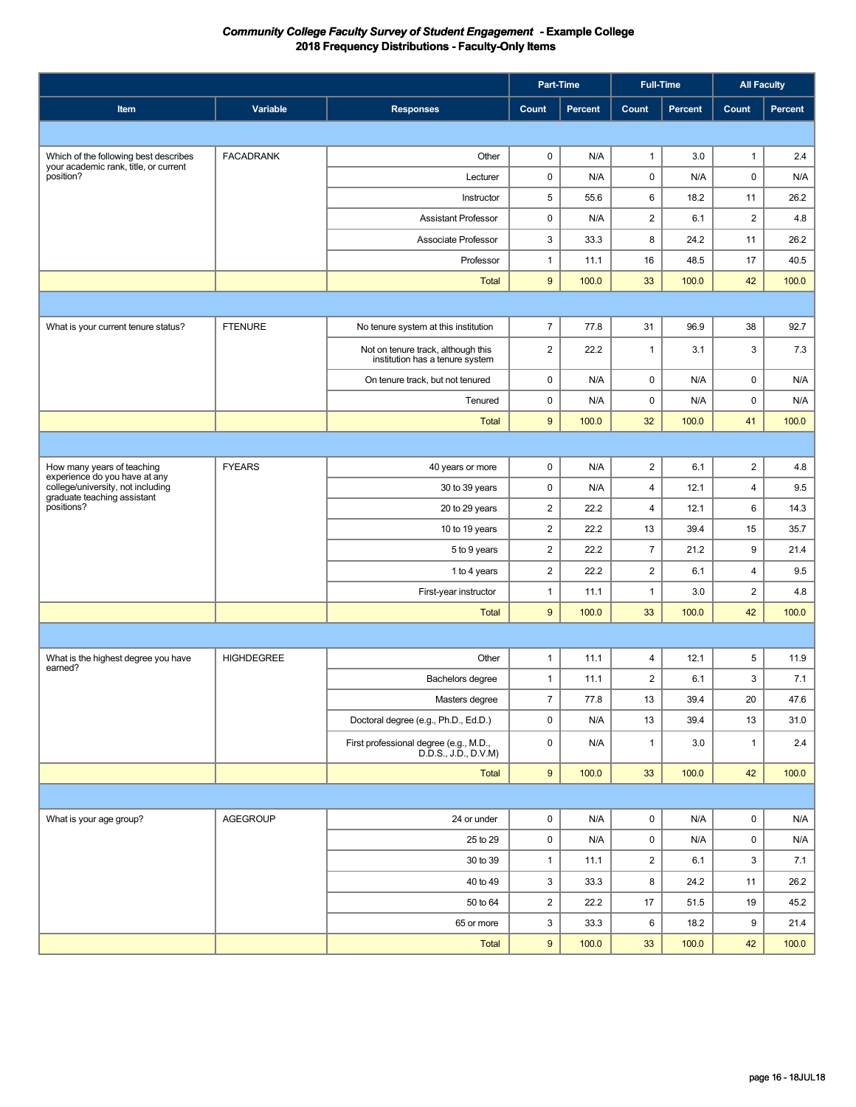|                                                                    |                   | Part-Time                                                             |                           |                | <b>Full-Time</b>        |         | <b>All Faculty</b>      |         |
|--------------------------------------------------------------------|-------------------|-----------------------------------------------------------------------|---------------------------|----------------|-------------------------|---------|-------------------------|---------|
| Item                                                               | Variable          | <b>Responses</b>                                                      | Count                     | <b>Percent</b> | Count                   | Percent | Count                   | Percent |
|                                                                    |                   |                                                                       |                           |                |                         |         |                         |         |
| Which of the following best describes                              | <b>FACADRANK</b>  | Other                                                                 | 0                         | N/A            | $\mathbf{1}$            | 3.0     | $\mathbf{1}$            | 2.4     |
| your academic rank, title, or current<br>position?                 |                   | Lecturer                                                              | 0                         | N/A            | $\pmb{0}$               | N/A     | 0                       | N/A     |
|                                                                    |                   | Instructor                                                            | 5                         | 55.6           | 6                       | 18.2    | 11                      | 26.2    |
|                                                                    |                   | <b>Assistant Professor</b>                                            | 0                         | N/A            | $\overline{2}$          | 6.1     | $\overline{c}$          | 4.8     |
|                                                                    |                   | Associate Professor                                                   | $\ensuremath{\mathsf{3}}$ | 33.3           | 8                       | 24.2    | 11                      | 26.2    |
|                                                                    |                   | Professor                                                             | $\mathbf{1}$              | 11.1           | 16                      | 48.5    | 17                      | 40.5    |
|                                                                    |                   | <b>Total</b>                                                          | 9                         | 100.0          | 33                      | 100.0   | 42                      | 100.0   |
|                                                                    |                   |                                                                       |                           |                |                         |         |                         |         |
| What is your current tenure status?                                | <b>FTENURE</b>    | No tenure system at this institution                                  | $\overline{7}$            | 77.8           | 31                      | 96.9    | 38                      | 92.7    |
|                                                                    |                   | Not on tenure track, although this<br>institution has a tenure system | $\overline{2}$            | 22.2           | $\mathbf{1}$            | 3.1     | 3                       | 7.3     |
|                                                                    |                   | On tenure track, but not tenured                                      | 0                         | N/A            | $\pmb{0}$               | N/A     | 0                       | N/A     |
|                                                                    |                   | Tenured                                                               | 0                         | N/A            | $\pmb{0}$               | N/A     | 0                       | N/A     |
|                                                                    |                   | <b>Total</b>                                                          | 9                         | 100.0          | 32                      | 100.0   | 41                      | 100.0   |
|                                                                    |                   |                                                                       |                           |                |                         |         |                         |         |
| How many years of teaching                                         | <b>FYEARS</b>     | 40 years or more                                                      | 0                         | N/A            | $\overline{\mathbf{c}}$ | 6.1     | $\overline{\mathbf{c}}$ | 4.8     |
| experience do you have at any<br>college/university, not including |                   | 30 to 39 years                                                        | 0                         | N/A            | $\overline{4}$          | 12.1    | 4                       | 9.5     |
| graduate teaching assistant<br>positions?                          |                   | 20 to 29 years                                                        | $\overline{\mathbf{c}}$   | 22.2           | $\overline{4}$          | 12.1    | 6                       | 14.3    |
|                                                                    |                   | 10 to 19 years                                                        | $\overline{2}$            | 22.2           | 13                      | 39.4    | 15                      | 35.7    |
|                                                                    |                   | 5 to 9 years                                                          | $\overline{2}$            | 22.2           | $\overline{7}$          | 21.2    | 9                       | 21.4    |
|                                                                    |                   | 1 to 4 years                                                          | $\overline{2}$            | 22.2           | $\overline{2}$          | 6.1     | 4                       | 9.5     |
|                                                                    |                   | First-year instructor                                                 | $\mathbf{1}$              | 11.1           | $\mathbf{1}$            | 3.0     | $\overline{c}$          | 4.8     |
|                                                                    |                   | <b>Total</b>                                                          | 9                         | 100.0          | 33                      | 100.0   | 42                      | 100.0   |
|                                                                    |                   |                                                                       |                           |                |                         |         |                         |         |
| What is the highest degree you have<br>earned?                     | <b>HIGHDEGREE</b> | Other                                                                 | $\mathbf{1}$              | 11.1           | $\overline{\mathbf{4}}$ | 12.1    | 5                       | 11.9    |
|                                                                    |                   | Bachelors degree                                                      | $\mathbf{1}$              | 11.1           | $\overline{2}$          | 6.1     | 3                       | 7.1     |
|                                                                    |                   | Masters degree                                                        | $\overline{7}$            | 77.8           | $13\,$                  | 39.4    | $20\,$                  | 47.6    |
|                                                                    |                   | Doctoral degree (e.g., Ph.D., Ed.D.)                                  | 0                         | N/A            | 13                      | 39.4    | 13                      | 31.0    |
|                                                                    |                   | First professional degree (e.g., M.D.,<br>D.D.S., J.D., D.V.M)        | $\mathsf 0$               | N/A            | $\mathbf{1}$            | 3.0     | $\mathbf{1}$            | $2.4\,$ |
|                                                                    |                   | Total                                                                 | $\boldsymbol{9}$          | 100.0          | 33                      | 100.0   | 42                      | 100.0   |
|                                                                    |                   |                                                                       |                           |                |                         |         |                         |         |
| What is your age group?                                            | AGEGROUP          | 24 or under                                                           | $\mathsf 0$               | N/A            | 0                       | N/A     | $\mathsf 0$             | N/A     |
|                                                                    |                   | 25 to 29                                                              | 0                         | N/A            | $\mathsf 0$             | N/A     | 0                       | N/A     |
|                                                                    |                   | 30 to 39                                                              | $\mathbf{1}$              | 11.1           | $\overline{\mathbf{c}}$ | 6.1     | 3                       | 7.1     |
|                                                                    |                   | 40 to 49                                                              | 3                         | 33.3           | 8                       | 24.2    | 11                      | 26.2    |
|                                                                    |                   | 50 to 64                                                              | $\overline{\mathbf{c}}$   | 22.2           | 17                      | 51.5    | 19                      | 45.2    |
|                                                                    |                   | 65 or more                                                            | 3                         | 33.3           | 6                       | 18.2    | 9                       | 21.4    |
|                                                                    |                   | Total                                                                 | $\boldsymbol{9}$          | 100.0          | 33                      | 100.0   | 42                      | 100.0   |